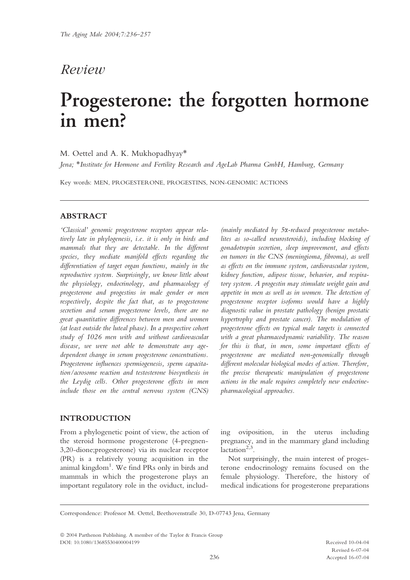# Review

# Progesterone: the forgotten hormone in men?

# M. Oettel and A. K. Mukhopadhyay\*

Jena; \*Institute for Hormone and Fertility Research and AgeLab Pharma GmbH, Hamburg, Germany

Key words: MEN, PROGESTERONE, PROGESTINS, NON-GENOMIC ACTIONS

# ABSTRACT

'Classical' genomic progesterone receptors appear relatively late in phylogenesis, i.e. it is only in birds and mammals that they are detectable. In the different species, they mediate manifold effects regarding the differentiation of target organ functions, mainly in the reproductive system. Surprisingly, we know little about the physiology, endocrinology, and pharmacology of progesterone and progestins in male gender or men respectively, despite the fact that, as to progesterone secretion and serum progesterone levels, there are no great quantitative differences between men and women (at least outside the luteal phase). In a prospective cohort study of 1026 men with and without cardiovascular disease, we were not able to demonstrate any agedependent change in serum progesterone concentrations. Progesterone influences spermiogenesis, sperm capacitation/acrosome reaction and testosterone biosynthesis in the Leydig cells. Other progesterone effects in men include those on the central nervous system (CNS)

(mainly mediated by 5a-reduced progesterone metabolites as so-called neurosteroids), including blocking of gonadotropin secretion, sleep improvement, and effects on tumors in the CNS (meningioma, fibroma), as well as effects on the immune system, cardiovascular system, kidney function, adipose tissue, behavior, and respiratory system. A progestin may stimulate weight gain and appetite in men as well as in women. The detection of progesterone receptor isoforms would have a highly diagnostic value in prostate pathology (benign prostatic hypertrophy and prostate cancer). The modulation of progesterone effects on typical male targets is connected with a great pharmacodynamic variability. The reason for this is that, in men, some important effects of progesterone are mediated non-genomically through different molecular biological modes of action. Therefore, the precise therapeutic manipulation of progesterone actions in the male requires completely new endocrinepharmacological approaches.

# INTRODUCTION

From a phylogenetic point of view, the action of the steroid hormone progesterone (4-pregnen-3,20-dione;progesterone) via its nuclear receptor (PR) is a relatively young acquisition in the animal kingdom<sup>1</sup>. We find PRs only in birds and mammals in which the progesterone plays an important regulatory role in the oviduct, including oviposition, in the uterus including pregnancy, and in the mammary gland including lactation $2,3$ .

Not surprisingly, the main interest of progesterone endocrinology remains focused on the female physiology. Therefore, the history of medical indications for progesterone preparations

Correspondence: Professor M. Oettel, Beethovenstraße 30, D-07743 Jena, Germany

ª 2004 Parthenon Publishing. A member of the Taylor & Francis Group DOI: 10.1080/13685530400004199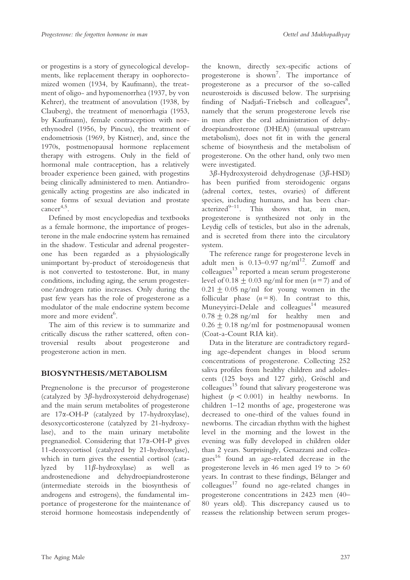or progestins is a story of gynecological developments, like replacement therapy in oophorectomized women (1934, by Kaufmann), the treatment of oligo- and hypomenorrhea (1937, by von Kehrer), the treatment of anovulation (1938, by Clauberg), the treatment of menorrhagia (1953, by Kaufmann), female contraception with norethynodrel (1956, by Pincus), the treatment of endometriosis (1969, by Kistner), and, since the 1970s, postmenopausal hormone replacement therapy with estrogens. Only in the field of hormonal male contraception, has a relatively broader experience been gained, with progestins being clinically administered to men. Antiandrogenically acting progestins are also indicated in some forms of sexual deviation and prostate cancer4,5.

Defined by most encyclopedias and textbooks as a female hormone, the importance of progesterone in the male endocrine system has remained in the shadow. Testicular and adrenal progesterone has been regarded as a physiologically unimportant by-product of steroidogenesis that is not converted to testosterone. But, in many conditions, including aging, the serum progesterone/androgen ratio increases. Only during the past few years has the role of progesterone as a modulator of the male endocrine system become more and more evident<sup>6</sup>.

The aim of this review is to summarize and critically discuss the rather scattered, often controversial results about progesterone and progesterone action in men.

# BIOSYNTHESIS/METABOLISM

Pregnenolone is the precursor of progesterone (catalyzed by  $3\beta$ -hydroxysteroid dehydrogenase) and the main serum metabolites of progesterone are 17a-OH-P (catalyzed by 17-hydroxylase), desoxycorticosterone (catalyzed by 21-hydroxylase), and to the main urinary metabolite pregnanediol. Considering that 17a-OH-P gives 11-deoxycortisol (catalyzed by 21-hydroxylase), which in turn gives the essential cortisol (catalyzed by  $11\beta$ -hydroxylase) as well as androstenedione and dehydroepiandrosterone (intermediate steroids in the biosynthesis of androgens and estrogens), the fundamental importance of progesterone for the maintenance of steroid hormone homeostasis independently of

the known, directly sex-specific actions of progesterone is shown<sup>7</sup>. The importance of progesterone as a precursor of the so-called neurosteroids is discussed below. The surprising finding of Nadjafi-Triebsch and colleagues<sup>8</sup>, namely that the serum progesterone levels rise in men after the oral administration of dehydroepiandrosterone (DHEA) (unusual upstream metabolism), does not fit in with the general scheme of biosynthesis and the metabolism of progesterone. On the other hand, only two men were investigated.

 $3\beta$ -Hydroxysteroid dehydrogenase  $(3\beta$ -HSD) has been purified from steroidogenic organs (adrenal cortex, testes, ovaries) of different species, including humans, and has been char- $\arct{e}$  acterized<sup>9–11</sup>. This shows that, in men, progesterone is synthesized not only in the Leydig cells of testicles, but also in the adrenals, and is secreted from there into the circulatory system.

The reference range for progesterone levels in adult men is  $0.13-0.97$  ng/ml<sup>12</sup>. Zumoff and  $\text{colle}$ agues $^{13}$  reported a mean serum progesterone level of  $0.18 \pm 0.03$  ng/ml for men (n = 7) and of  $0.21 \pm 0.05$  ng/ml for young women in the follicular phase  $(n=8)$ . In contrast to this, Muneyyirci-Delale and colleagues<sup>14</sup> measured  $0.78 \pm 0.28$  ng/ml for healthy men and  $0.26 \pm 0.18$  ng/ml for postmenopausal women (Coat-a-Count RIA kit).

Data in the literature are contradictory regarding age-dependent changes in blood serum concentrations of progesterone. Collecting 252 saliva profiles from healthy children and adolescents (125 boys and 127 girls), Gröschl and colleagues<sup>15</sup> found that salivary progesterone was highest  $(p < 0.001)$  in healthy newborns. In children 1–12 months of age, progesterone was decreased to one-third of the values found in newborns. The circadian rhythm with the highest level in the morning and the lowest in the evening was fully developed in children older than 2 years. Surprisingly, Genazzani and colleagues<sup>16</sup> found an age-related decrease in the progesterone levels in 46 men aged 19 to  $> 60$ years. In contrast to these findings, Bélanger and  $\text{colleagues}^{17}$  found no age-related changes in progesterone concentrations in 2423 men (40– 80 years old). This discrepancy caused us to reassess the relationship between serum proges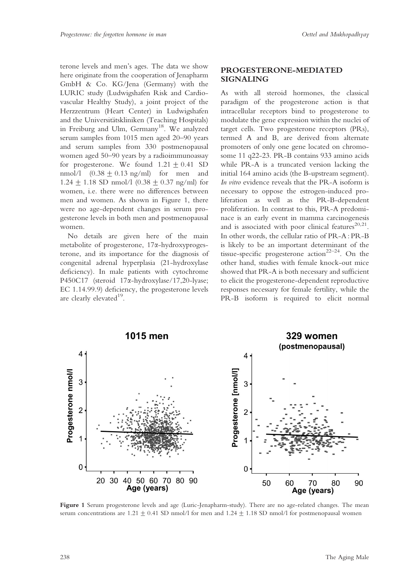terone levels and men's ages. The data we show here originate from the cooperation of Jenapharm GmbH & Co. KG/Jena (Germany) with the LURIC study (Ludwigshafen Risk and Cardiovascular Healthy Study), a joint project of the Herzzentrum (Heart Center) in Ludwigshafen and the Universitätskliniken (Teaching Hospitals) in Freiburg and Ulm, Germany<sup>18</sup>. We analyzed serum samples from 1015 men aged 20–90 years and serum samples from 330 postmenopausal women aged 50–90 years by a radioimmunoassay for progesterone. We found  $1.21 \pm 0.41$  SD nmol/l  $(0.38 \pm 0.13 \text{ ng/ml})$  for men and 1.24  $\pm$  1.18 SD nmol/l (0.38  $\pm$  0.37 ng/ml) for women, i.e. there were no differences between men and women. As shown in Figure 1, there were no age-dependent changes in serum progesterone levels in both men and postmenopausal women.

No details are given here of the main metabolite of progesterone, 17a-hydroxyprogesterone, and its importance for the diagnosis of congenital adrenal hyperplasia (21-hydroxylase deficiency). In male patients with cytochrome P450C17 (steroid 17 $\alpha$ -hydroxylase/17,20-lyase; EC 1.14.99.9) deficiency, the progesterone levels are clearly elevated<sup>19</sup>.

#### PROGESTERONE-MEDIATED SIGNALING

As with all steroid hormones, the classical paradigm of the progesterone action is that intracellular receptors bind to progesterone to modulate the gene expression within the nuclei of target cells. Two progesterone receptors (PRs), termed A and B, are derived from alternate promoters of only one gene located on chromosome 11 q22-23. PR-B contains 933 amino acids while PR-A is a truncated version lacking the initial 164 amino acids (the B-upstream segment). In vitro evidence reveals that the PR-A isoform is necessary to oppose the estrogen-induced proliferation as well as the PR-B-dependent proliferation. In contrast to this, PR-A predominace is an early event in mamma carcinogenesis and is associated with poor clinical features $^{20,21}$ . In other words, the cellular ratio of PR-A : PR-B is likely to be an important determinant of the tissue-specific progesterone action<sup>22–24</sup>. On the other hand, studies with female knock-out mice showed that PR-A is both necessary and sufficient to elicit the progesterone-dependent reproductive responses necessary for female fertility, while the PR-B isoform is required to elicit normal



Figure 1 Serum progesterone levels and age (Luric-Jenapharm-study). There are no age-related changes. The mean serum concentrations are  $1.21 \pm 0.41$  SD nmol/l for men and  $1.24 \pm 1.18$  SD nmol/l for postmenopausal women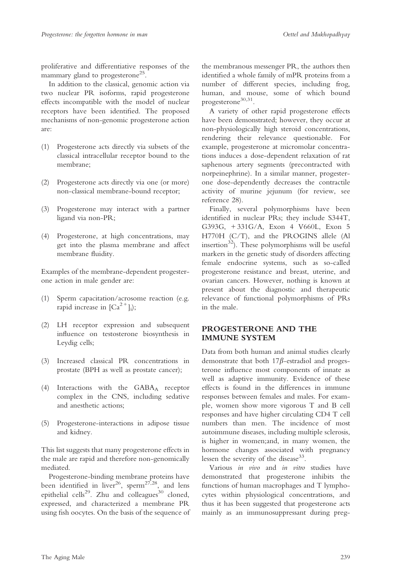proliferative and differentiative responses of the mammary gland to progesterone<sup>25</sup>.

In addition to the classical, genomic action via two nuclear PR isoforms, rapid progesterone effects incompatible with the model of nuclear receptors have been identified. The proposed mechanisms of non-genomic progesterone action are:

- (1) Progesterone acts directly via subsets of the classical intracellular receptor bound to the membrane;
- (2) Progesterone acts directly via one (or more) non-classical membrane-bound receptor;
- (3) Progesterone may interact with a partner ligand via non-PR;
- (4) Progesterone, at high concentrations, may get into the plasma membrane and affect membrane fluidity.

Examples of the membrane-dependent progesterone action in male gender are:

- (1) Sperm capacitation/acrosome reaction (e.g. rapid increase in  ${[Ca}^{2+}]_i$ ;
- (2) LH receptor expression and subsequent influence on testosterone biosynthesis in Leydig cells;
- (3) Increased classical PR concentrations in prostate (BPH as well as prostate cancer);
- (4) Interactions with the  $GABA_A$  receptor complex in the CNS, including sedative and anesthetic actions;
- (5) Progesterone-interactions in adipose tissue and kidney.

This list suggests that many progesterone effects in the male are rapid and therefore non-genomically mediated.

Progesterone-binding membrane proteins have been identified in liver<sup>26</sup>, sperm<sup>27,28</sup>, and lens epithelial cells<sup>29</sup>. Zhu and colleagues<sup>30</sup> cloned, expressed, and characterized a membrane PR using fish oocytes. On the basis of the sequence of

the membranous messenger PR, the authors then identified a whole family of mPR proteins from a number of different species, including frog, human, and mouse, some of which bound progesterone $30,31$ .

A variety of other rapid progesterone effects have been demonstrated; however, they occur at non-physiologically high steroid concentrations, rendering their relevance questionable. For example, progesterone at micromolar concentrations induces a dose-dependent relaxation of rat saphenous artery segments (precontracted with norpeinephrine). In a similar manner, progesterone dose-dependently decreases the contractile activity of murine jejunum (for review, see reference 28).

Finally, several polymorphisms have been identified in nuclear PRs; they include S344T, G393G, + 331G/A, Exon 4 V660L, Exon 5 H770H (C/T), and the PROGINS allele (Al insertion<sup>32</sup>). These polymorphisms will be useful markers in the genetic study of disorders affecting female endocrine systems, such as so-called progesterone resistance and breast, uterine, and ovarian cancers. However, nothing is known at present about the diagnostic and therapeutic relevance of functional polymorphisms of PRs in the male.

# PROGESTERONE AND THE IMMUNE SYSTEM

Data from both human and animal studies clearly demonstrate that both  $17\beta$ -estradiol and progesterone influence most components of innate as well as adaptive immunity. Evidence of these effects is found in the differences in immune responses between females and males. For example, women show more vigorous T and B cell responses and have higher circulating CD4 T cell numbers than men. The incidence of most autoimmune diseases, including multiple sclerosis, is higher in women;and, in many women, the hormone changes associated with pregnancy lessen the severity of the disease  $33$ .

Various in vivo and in vitro studies have demonstrated that progesterone inhibits the functions of human macrophages and T lymphocytes within physiological concentrations, and thus it has been suggested that progesterone acts mainly as an immunosuppressant during preg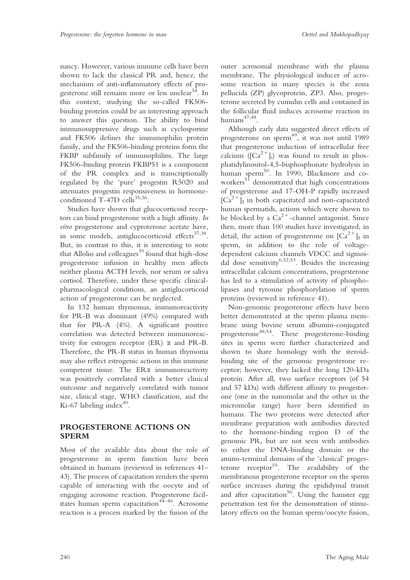nancy. However, various immune cells have been shown to lack the classical PR and, hence, the mechanism of anti-inflammatory effects of progesterone still remains more or less unclear<sup>34</sup>. In this context, studying the so-called FK506 binding proteins could be an interesting approach to answer this question. The ability to bind immunosuppressive drugs such as cyclosporine and FK506 defines the immunophilin protein family, and the FK506-binding proteins form the FKBP subfamily of immunophilins. The large FK506-binding protein FKBP51 is a component of the PR complex and is transcriptionally regulated by the 'pure' progestin R5020 and attenuates progestin responsiveness in hormoneconditioned  $T-47D$  cells<sup>35,36</sup>.

Studies have shown that glucocorticoid receptors can bind progesterone with a high affinity. In vitro progesterone and cyproterone acetate have, in some models, antiglucocorticoid effects<sup>37,38</sup>. But, in contrast to this, it is interesting to note that Allolio and colleagues<sup>39</sup> found that high-dose progesterone infusion in healthy men affects neither plasma ACTH levels, nor serum or saliva cortisol. Therefore, under these specific clinicalpharmacological conditions, an antiglucorticoid action of progesterone can be neglected.

In 132 human thymomas, immunoreactivity for PR-B was dominant (49%) compared with that for PR-A (4%). A significant positive correlation was detected between immunoreactivity for estrogen receptor  $(ER)$   $\alpha$  and PR-B. Therefore, the PR-B status in human thymoma may also reflect estrogenic actions in this immune competent tissue. The  $ER\alpha$  immunoreactivity was positively correlated with a better clinical outcome and negatively correlated with tumor size, clinical stage, WHO classification, and the Ki-67 labeling index $40$ .

# PROGESTERONE ACTIONS ON SPERM

Most of the available data about the role of progesterone in sperm function have been obtained in humans (reviewed in references 41– 43). The process of capacitation renders the sperm capable of interacting with the oocyte and of engaging acrosome reaction. Progesterone facilitates human sperm capacitation<sup>44–46</sup>. Acrosome reaction is a process marked by the fusion of the

outer acrosomal membrane with the plasma membrane. The physiological inducer of acrosome reaction in many species is the zona pellucida (ZP) glycoprotein, ZP3. Also, progesterone secreted by cumulus cells and contained in the follicular fluid induces acrosome reaction in humans<sup>47,48</sup>.

Although early data suggested direct effects of progesterone on sperm<sup>49</sup>, it was not until 1989 that progesterone induction of intracellular free calcium  $([Ca^{2+}]_i)$  was found to result in phosphatidylinositol-4,5-bisphosphonate hydrolysis in human sperm<sup>50</sup>. In 1990, Blackmore and coworkers<sup>51</sup> demonstrated that high concentrations of progesterone and 17-OH-P rapidly increased  $\left[\text{Ca}^{2+}\right]$ I in both capacitated and non-capacitated human spermatids, actions which were shown to be blocked by a  $Ca^{2+}$ -channel antagonist. Since then, more than 100 studies have investigated, in detail, the action of progesterone on  ${[Ca}^{2+}]$ <sub>I</sub> in sperm, in addition to the role of voltagedependent calcium channels VDCC and sigmoidal dose sensitivity<sup>6,52,53</sup>. Besides the increasing intracellular calcium concentrations, progesterone has led to a stimulation of activity of phospholipases and tyrosine phosphorylation of sperm proteins (reviewed in reference 41).

Non-genomic progesterone effects have been better demonstrated at the sperm plasma membrane using bovine serum albumin-conjugated progesterone48,54. These progesterone-binding sites in sperm were further characterized and shown to share homology with the steroidbinding site of the genomic progesterone receptor; however, they lacked the long 120-kDa protein. After all, two surface receptors (of 54 and 57 kDa) with different affinity to progesterone (one in the nanomolar and the other in the micromolar range) have been identified in humans. The two proteins were detected after membrane preparation with antibodies directed to the hormone-binding region D of the genomic PR, but are not seen with antibodies to either the DNA-binding domain or the amino-terminal domains of the 'classical' progesterone  $receptor<sup>55</sup>$ . The availability of the membranous progesterone receptor on the sperm surface increases during the epididymal transit and after capacitation<sup>56</sup>. Using the hamster egg penetration test for the demonstration of stimulatory effects on the human sperm/oocyte fusion,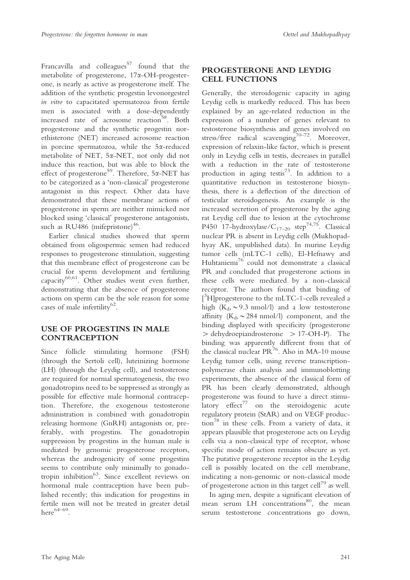Francavilla and colleagues $57$  found that the metabolite of progesterone, 17a-OH-progesterone, is nearly as active as progesterone itself. The addition of the synthetic progestin levonorgestrel in vitro to capacitated spermatozoa from fertile men is associated with a dose-dependently increased rate of acrosome reaction<sup>58</sup>. Both progesterone and the synthetic progestin norethisterone (NET) increased acrosome reaction in porcine spermatozoa, while the 5a-reduced metabolite of NET, 5a-NET, not only did not induce this reaction, but was able to block the effect of progesterone<sup>59</sup>. Therefore, 5*x*-NET has to be categorized as a 'non-classical' progesterone antagonist in this respect. Other data have demonstrated that these membrane actions of progesterone in sperm are neither mimicked nor blocked using 'classical' progesterone antagonists, such as RU486 (mifepristone) $46$ .

Earlier clinical studies showed that sperm obtained from oligospermic semen had reduced responses to progesterone stimulation, suggesting that this membrane effect of progesterone can be crucial for sperm development and fertilizing capacity $60,61$ . Other studies went even further, demonstrating that the absence of progesterone actions on sperm can be the sole reason for some cases of male infertility $62$ .

# USE OF PROGESTINS IN MALE **CONTRACEPTION**

Since follicle stimulating hormone (FSH) (through the Sertoli cell), luteinizing hormone (LH) (through the Leydig cell), and testosterone are required for normal spermatogenesis, the two gonadotropins need to be suppressed as strongly as possible for effective male hormonal contraception. Therefore, the exogenous testosterone administration is combined with gonadotropin releasing hormone (GnRH) antagonists or, preferably, with progestins. The gonadotropin suppression by progestins in the human male is mediated by genomic progesterone receptors, whereas the androgenicity of some progestins seems to contribute only minimally to gonadotropin inhibition<sup>63</sup>. Since excellent reviews on hormonal male contraception have been published recently; this indication for progestins in fertile men will not be treated in greater detail here $64-69$ .

# PROGESTERONE AND LEYDIG CELL FUNCTIONS

Generally, the steroidogenic capacity in aging Leydig cells is markedly reduced. This has been explained by an age-related reduction in the expression of a number of genes relevant to testosterone biosynthesis and genes involved on stress/free radical scavenging<sup>70–72</sup>. Moreover, expression of relaxin-like factor, which is present only in Leydig cells in testis, decreases in parallel with a reduction in the rate of testosterone production in aging testis<sup>73</sup>. In addition to a quantitative reduction in testosterone biosynthesis, there is a deflection of the direction of testicular steroidogenesis. An example is the increased secretion of progesterone by the aging rat Leydig cell due to lesion at the cytochrome P450 17-hydroxylase/ $C_{17-20}$  step<sup>74,75</sup>. Classical nuclear PR is absent in Leydig cells (Mukhopadhyay AK, unpublished data). In murine Leydig tumor cells (mLTC-1 cells), El-Hefnawy and Huhtaniemi<sup>76</sup> could not demonstrate a classical PR and concluded that progesterone actions in these cells were mediated by a non-classical receptor. The authors found that binding of [<sup>3</sup>H]progesterone to the mLTC-1-cells revealed a high  $(K_d, \sim 9.3 \text{ nmol/l})$  and a low testosterone affinity  $(K_d, \sim 284 \text{ nmol/l})$  component, and the binding displayed with specificity (progesterone  $>$  dehydroepiandrosterone  $>$  17-OH-P). The binding was apparently different from that of the classical nuclear  $PR^{76}$ . Also in MA-10 mouse Leydig tumor cells, using reverse transcriptionpolymerase chain analysis and immunoblotting experiments, the absence of the classical form of PR has been clearly demonstrated, although progesterone was found to have a direct stimulatory effect<sup>77</sup> on the steroidogenic acute regulatory protein (StAR) and on VEGF production<sup>78</sup> in these cells. From a variety of data, it appears plausible that progesterone acts on Leydig cells via a non-classical type of receptor, whose specific mode of action remains obscure as yet. The putative progesterone receptor in the Leydig cell is possibly located on the cell membrane, indicating a non-genomic or non-classical mode of progesterone action in this target cell<sup>79</sup> as well.

In aging men, despite a significant elevation of mean serum LH concentrations $^{80}$ , the mean serum testosterone concentrations go down,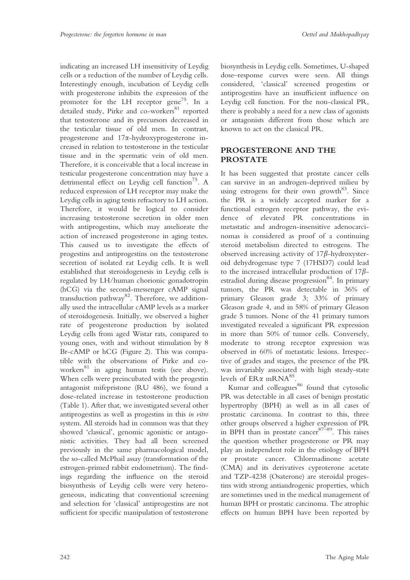indicating an increased LH insensitivity of Leydig cells or a reduction of the number of Leydig cells. Interestingly enough, incubation of Leydig cells with progesterone inhibits the expression of the promoter for the LH receptor gene<sup>75</sup>. In a detailed study, Pirke and co-workers<sup>81</sup> reported that testosterone and its precursors decreased in the testicular tissue of old men. In contrast, progesterone and 17a-hydroxyprogesterone increased in relation to testosterone in the testicular tissue and in the spermatic vein of old men. Therefore, it is conceivable that a local increase in testicular progesterone concentration may have a detrimental effect on Leydig cell function<sup>75</sup>. A reduced expression of LH receptor may make the Leydig cells in aging testis refractory to LH action. Therefore, it would be logical to consider increasing testosterone secretion in older men with antiprogestins, which may ameliorate the action of increased progesterone in aging testes. This caused us to investigate the effects of progestins and antiprogestins on the testosterone secretion of isolated rat Leydig cells. It is well established that steroidogenesis in Leydig cells is regulated by LH/human chorionic gonadotropin (hCG) via the second-messenger cAMP signal transduction pathway<sup>82</sup>. Therefore, we additionally used the intracellular cAMP levels as a marker of steroidogenesis. Initially, we observed a higher rate of progesterone production by isolated Leydig cells from aged Wistar rats, compared to young ones, with and without stimulation by 8 Br-cAMP or hCG (Figure 2). This was compatible with the observations of Pirke and coworkers<sup>81</sup> in aging human testis (see above). When cells were preincubated with the progestin antagonist mifepristone (RU 486), we found a dose-related increase in testosterone production (Table 1). After that, we investigated several other antiprogestins as well as progestins in this in vitro system. All steroids had in common was that they showed 'classical', genomic agonistic or antagonistic activities. They had all been screened previously in the same pharmacological model, the so-called McPhail assay (transformation of the estrogen-primed rabbit endometrium). The findings regarding the influence on the steroid biosynthesis of Leydig cells were very heterogeneous, indicating that conventional screening and selection for 'classical' antiprogestins are not sufficient for specific manipulation of testosterone

biosynthesis in Leydig cells. Sometimes, U-shaped dose–response curves were seen. All things considered, 'classical' screened progestins or antiprogestins have an insufficient influence on Leydig cell function. For the non-classical PR, there is probably a need for a new class of agonists or antagonists different from those which are known to act on the classical PR.

# PROGESTERONE AND THE PROSTATE

It has been suggested that prostate cancer cells can survive in an androgen-deprived milieu by using estrogens for their own growth $83$ . Since the PR is a widely accepted marker for a functional estrogen receptor pathway, the evidence of elevated PR concentrations in metastatic and androgen-insensitive adenocarcinomas is considered as proof of a continuing steroid metabolism directed to estrogens. The observed increasing activity of  $17\beta$ -hydroxysteroid dehydrogenase type 7 (17HSD7) could lead to the increased intracellular production of  $17\beta$ estradiol during disease progression $84$ . In primary tumors, the PR was detectable in 36% of primary Gleason grade 3; 33% of primary Gleason grade 4, and in 58% of primary Gleason grade 5 tumors. None of the 41 primary tumors investigated revealed a significant PR expression in more than 50% of tumor cells. Conversely, moderate to strong receptor expression was observed in 60% of metastatic lesions. Irrespective of grades and stages, the presence of the PR was invariably associated with high steady-state levels of  $ER\alpha$  mRNA<sup>85</sup>.

Kumar and colleagues<sup>86</sup> found that cytosolic PR was detectable in all cases of benign prostatic hypertrophy (BPH) as well as in all cases of prostatic carcinoma. In contrast to this, three other groups observed a higher expression of PR in BPH than in prostate cancer $87-89$ . This raises the question whether progesterone or PR may play an independent role in the etiology of BPH or prostate cancer. Chlormadinone acetate (CMA) and its derivatives cyproterone acetate and TZP-4238 (Osaterone) are steroidal progestins with strong antiandrogenic properties, which are sometimes used in the medical management of human BPH or prostatic carcinoma. The atrophic effects on human BPH have been reported by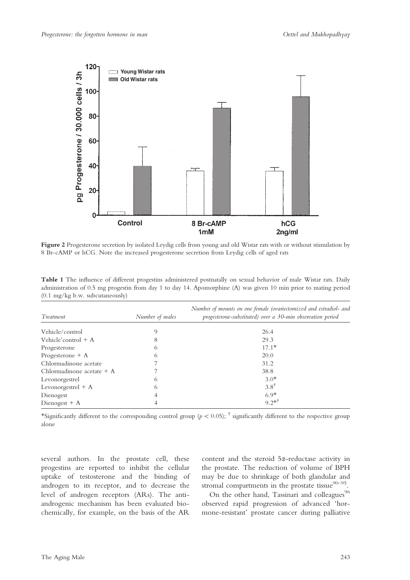

Figure 2 Progesterone secretion by isolated Leydig cells from young and old Wistar rats with or without stimulation by 8 Br-cAMP or hCG. Note the increased progesterone secretion from Leydig cells of aged rats

Table 1 The influence of different progestins administered postnatally on sexual behavior of male Wistar rats. Daily administration of 0.5 mg progestin from day 1 to day 14. Apomorphine (A) was given 10 min prior to mating period (0.1 mg/kg b.w. subcutaneously)

| Treatment                   | Number of males | Number of mounts on one female (ovariectomized and estradiol- and<br>progesterone-substituted) over a 30-min observation period |
|-----------------------------|-----------------|---------------------------------------------------------------------------------------------------------------------------------|
|                             |                 |                                                                                                                                 |
| Vehicle/control             | 9               | 26.4                                                                                                                            |
| Vehicle' control $+$ A      | 8               | 29.3                                                                                                                            |
| Progesterone                | 6               | $17.1*$                                                                                                                         |
| Progesterone $+$ A          | 6               | 20.0                                                                                                                            |
| Chlormadinone acetate       |                 | 31.2                                                                                                                            |
| Chlormadinone acetate $+$ A |                 | 38.8                                                                                                                            |
| Levonorgestrel              | 6               | $3.0*$                                                                                                                          |
| Levonorgestrel $+$ A        | 6               | $3.8^{\dagger}$                                                                                                                 |
| Dienogest                   |                 | $6.9*$                                                                                                                          |
| Dienogest $+$ A             |                 | $9.2**$                                                                                                                         |

\*Significantly different to the corresponding control group ( $p < 0.05$ );  $\dagger$  significantly different to the respective group alone

several authors. In the prostate cell, these progestins are reported to inhibit the cellular uptake of testosterone and the binding of androgen to its receptor, and to decrease the level of androgen receptors (ARs). The antiandrogenic mechanism has been evaluated biochemically, for example, on the basis of the AR

content and the steroid 5a-reductase activity in the prostate. The reduction of volume of BPH may be due to shrinkage of both glandular and stromal compartments in the prostate tissue $90-95$ .

On the other hand, Tassinari and colleagues<sup>96</sup> observed rapid progression of advanced 'hormone-resistant' prostate cancer during palliative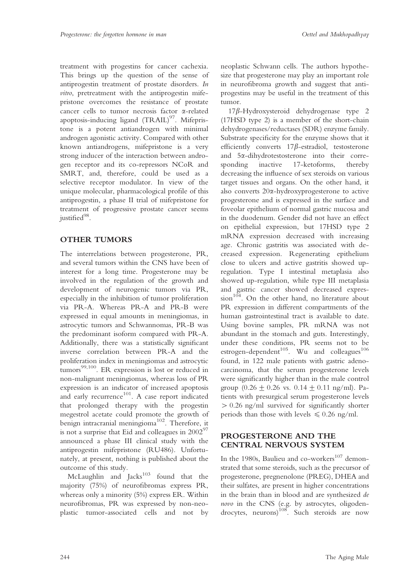treatment with progestins for cancer cachexia. This brings up the question of the sense of antiprogestin treatment of prostate disorders. In vitro, pretreatment with the antiprogestin mifepristone overcomes the resistance of prostate cancer cells to tumor necrosis factor a-related apoptosis-inducing ligand (TRAIL)<sup>97</sup>. Mifepristone is a potent antiandrogen with minimal androgen agonistic activity. Compared with other known antiandrogens, mifepristone is a very strong inducer of the interaction between androgen receptor and its co-repressors NCoR and SMRT, and, therefore, could be used as a selective receptor modulator. In view of the unique molecular, pharmacological profile of this antiprogestin, a phase II trial of mifepristone for treatment of progressive prostate cancer seems justified<sup>98</sup>.

# OTHER TUMORS

The interrelations between progesterone, PR, and several tumors within the CNS have been of interest for a long time. Progesterone may be involved in the regulation of the growth and development of neurogenic tumors via PR, especially in the inhibition of tumor proliferation via PR-A. Whereas PR-A and PR-B were expressed in equal amounts in meningiomas, in astrocytic tumors and Schwannomas, PR-B was the predominant isoform compared with PR-A. Additionally, there was a statistically significant inverse correlation between PR-A and the proliferation index in meningiomas and astrocytic tumors<sup>99,100</sup>. ER expression is lost or reduced in non-malignant meningiomas, whereas loss of PR expression is an indicator of increased apoptosis and early recurrence<sup>101</sup>. A case report indicated that prolonged therapy with the progestin megestrol acetate could promote the growth of benign intracranial meningioma<sup>102</sup>. Therefore, it is not a surprise that Eid and colleagues in  $2002^{97}$ announced a phase III clinical study with the antiprogestin mifepristone (RU486). Unfortunately, at present, nothing is published about the outcome of this study.

McLaughlin and  $Jacks^{103}$  found that the majority (75%) of neurofibromas express PR, whereas only a minority (5%) express ER. Within neurofibromas, PR was expressed by non-neoplastic tumor-associated cells and not by

neoplastic Schwann cells. The authors hypothesize that progesterone may play an important role in neurofibroma growth and suggest that antiprogestins may be useful in the treatment of this tumor.

 $17\beta$ -Hydroxysteroid dehydrogenase type 2 (17HSD type 2) is a member of the short-chain dehydrogenases/reductases (SDR) enzyme family. Substrate specificity for the enzyme shows that it efficiently converts  $17\beta$ -estradiol, testosterone and 5a-dihydrotestosterone into their corresponding inactive 17-ketoforms, thereby decreasing the influence of sex steroids on various target tissues and organs. On the other hand, it also converts 20a-hydroxyprogesterone to active progesterone and is expressed in the surface and foveolar epithelium of normal gastric mucosa and in the duodenum. Gender did not have an effect on epithelial expression, but 17HSD type 2 mRNA expression decreased with increasing age. Chronic gastritis was associated with decreased expression. Regenerating epithelium close to ulcers and active gastritis showed upregulation. Type I intestinal metaplasia also showed up-regulation, while type III metaplasia and gastric cancer showed decreased expres $sion<sup>104</sup>$ . On the other hand, no literature about PR expression in different compartments of the human gastrointestinal tract is available to date. Using bovine samples, PR mRNA was not abundant in the stomach and guts. Interestingly, under these conditions, PR seems not to be estrogen-dependent<sup>105</sup>. Wu and colleagues<sup>106</sup> found, in 122 male patients with gastric adenocarcinoma, that the serum progesterone levels were significantly higher than in the male control group  $(0.26 \pm 0.26 \text{ vs. } 0.14 \pm 0.11 \text{ ng/ml})$ . Patients with presurgical serum progesterone levels  $> 0.26$  ng/ml survived for significantly shorter periods than those with levels  $\leq 0.26$  ng/ml.

# PROGESTERONE AND THE CENTRAL NERVOUS SYSTEM

In the 1980s, Baulieu and co-workers<sup>107</sup> demonstrated that some steroids, such as the precursor of progesterone, pregnenolone (PREG), DHEA and their sulfates, are present in higher concentrations in the brain than in blood and are synthesized de novo in the CNS (e.g. by astrocytes, oligodendrocytes, neurons)<sup>108</sup>. Such steroids are now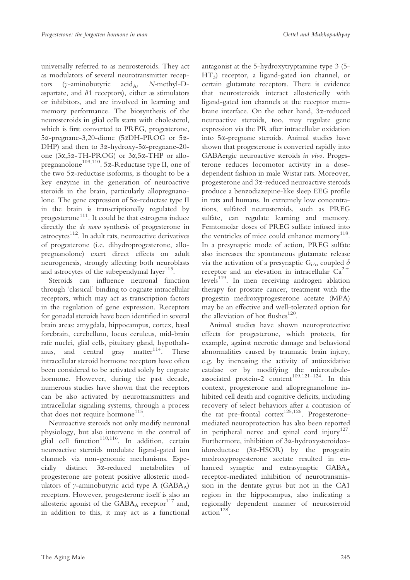universally referred to as neurosteroids. They act as modulators of several neurotransmitter receptors ( $\gamma$ -aminobutyric acid<sub>A</sub>, N-methyl-Daspartate, and  $\delta$ 1 receptors), either as stimulators or inhibitors, and are involved in learning and memory performance. The biosynthesis of the neurosteroids in glial cells starts with cholesterol, which is first converted to PREG, progesterone, 5a-pregnane-3,20-dione (5aDH-PROG or 5a-DHP) and then to 3a-hydroxy-5a-pregnane-20 one (3a,5a-TH-PROG) or 3a,5a-THP or allopregnanolone<sup>109,110</sup>. 5 $\alpha$ -Reductase type II, one of the two  $5\alpha$ -reductase isoforms, is thought to be a key enzyme in the generation of neuroactive steroids in the brain, particularly allopregnanolone. The gene expression of 5a-reductase type II in the brain is transcriptionally regulated by progesterone<sup>111</sup>. It could be that estrogens induce directly the de novo synthesis of progesterone in astrocytes<sup>112</sup>. In adult rats, neuroactive derivatives of progesterone (i.e. dihydroprogesterone, allopregnanolone) exert direct effects on adult neurogenesis, strongly affecting both neuroblasts and astrocytes of the subependymal layer<sup>113</sup>.

Steroids can influence neuronal function through 'classical' binding to cognate intracellular receptors, which may act as transcription factors in the regulation of gene expression. Receptors for gonadal steroids have been identified in several brain areas: amygdala, hippocampus, cortex, basal forebrain, cerebellum, locus ceruleus, mid-brain rafe nuclei, glial cells, pituitary gland, hypothalamus, and central gray matter<sup>114</sup>. These intracellular steroid hormone receptors have often been considered to be activated solely by cognate hormone. However, during the past decade, numerous studies have shown that the receptors can be also activated by neurotransmitters and intracellular signaling systems, through a process that does not require hormone<sup>115</sup>.

Neuroactive steroids not only modify neuronal physiology, but also intervene in the control of glial cell function<sup>110,116</sup>. In addition, certain neuroactive steroids modulate ligand-gated ion channels via non-genomic mechanisms. Especially distinct 3a-reduced metabolites of progesterone are potent positive allosteric modulators of  $\gamma$ -aminobutyric acid type A (GABA<sub>A</sub>) receptors. However, progesterone itself is also an allosteric agonist of the  $GABA_A$  receptor<sup>117</sup> and, in addition to this, it may act as a functional

antagonist at the 5-hydroxytryptamine type 3 (5- HT3) receptor, a ligand-gated ion channel, or certain glutamate receptors. There is evidence that neurosteroids interact allosterically with ligand-gated ion channels at the receptor membrane interface. On the other hand, 3a-reduced neuroactive steroids, too, may regulate gene expression via the PR after intracellular oxidation into 5a-pregnane steroids. Animal studies have shown that progesterone is converted rapidly into GABAergic neuroactive steroids in vivo. Progesterone reduces locomotor activity in a dosedependent fashion in male Wistar rats. Moreover, progesterone and 3a-reduced neuroactive steroids produce a benzodiazepine-like sleep EEG profile in rats and humans. In extremely low concentrations, sulfated neurosteroids, such as PREG sulfate, can regulate learning and memory. Femtomolar doses of PREG sulfate infused into the ventricles of mice could enhance memory<sup>118</sup>. In a presynaptic mode of action, PREG sulfate also increases the spontaneous glutamate release via the activation of a presynaptic  $G_{i/\alpha}$ -coupled  $\delta$ receptor and an elevation in intracellular  $Ca^{2+}$  $levels<sup>119</sup>$ . In men receiving androgen ablation therapy for prostate cancer, treatment with the progestin medroxyprogesterone acetate (MPA) may be an effective and well-tolerated option for the alleviation of hot flushes $^{120}$ .

Animal studies have shown neuroprotective effects for progesterone, which protects, for example, against necrotic damage and behavioral abnormalities caused by traumatic brain injury, e.g. by increasing the activity of antioxidative catalase or by modifying the microtubuleassociated protein-2 content<sup>109,121-124</sup>. In this context, progesterone and allopregnanolone inhibited cell death and cognitive deficits, including recovery of select behaviors after a contusion of the rat pre-frontal cortex<sup>125,126</sup>. Progesteronemediated neuroprotection has also been reported in peripheral nerve and spinal cord injury<sup>127</sup>. Furthermore, inhibition of 3a-hydroxysteroidoxidoreductase (3a-HSOR) by the progestin medroxyprogesterone acetate resulted in enhanced synaptic and extrasynaptic GABAA receptor-mediated inhibition of neurotransmission in the dentate gyrus but not in the CA1 region in the hippocampus, also indicating a regionally dependent manner of neurosteroid  $\arctan^{128}$ .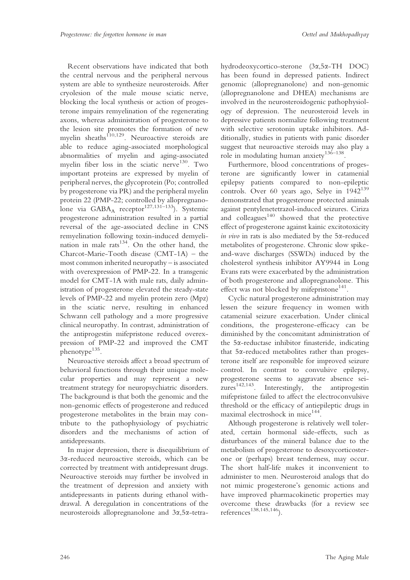Recent observations have indicated that both the central nervous and the peripheral nervous system are able to synthesize neurosteroids. After cryolesion of the male mouse sciatic nerve, blocking the local synthesis or action of progesterone impairs remyelination of the regenerating axons, whereas administration of progesterone to the lesion site promotes the formation of new myelin sheaths<sup> $110,129$ </sup>. Neuroactive steroids are able to reduce aging-associated morphological abnormalities of myelin and aging-associated myelin fiber loss in the sciatic nerve<sup>130</sup>. Two important proteins are expressed by myelin of peripheral nerves, the glycoprotein (Po; controlled by progesterone via PR) and the peripheral myelin protein 22 (PMP-22; controlled by allopregnanolone via  $GABA_A$  receptor<sup>127,131–133</sup>). Systemic progesterone administration resulted in a partial reversal of the age-associated decline in CNS remyelination following toxin-induced demyelination in male rats $134$ . On the other hand, the Charcot-Marie-Tooth disease (CMT-1A) – the most common inherited neuropathy – is associated with overexpression of PMP-22. In a transgenic model for CMT-1A with male rats, daily administration of progesterone elevated the steady-state levels of PMP-22 and myelin protein zero (Mpz) in the sciatic nerve, resulting in enhanced Schwann cell pathology and a more progressive clinical neuropathy. In contrast, administration of the antiprogestin mifepristone reduced overexpression of PMP-22 and improved the CMT phenotype $135$ .

Neuroactive steroids affect a broad spectrum of behavioral functions through their unique molecular properties and may represent a new treatment strategy for neuropsychiatric disorders. The background is that both the genomic and the non-genomic effects of progesterone and reduced progesterone metabolites in the brain may contribute to the pathophysiology of psychiatric disorders and the mechanisms of action of antidepressants.

In major depression, there is disequilibrium of 3a-reduced neuroactive steroids, which can be corrected by treatment with antidepressant drugs. Neuroactive steroids may further be involved in the treatment of depression and anxiety with antidepressants in patients during ethanol withdrawal. A deregulation in concentrations of the neurosteroids allopregnanolone and 3a,5a-tetrahydrodeoxycortico-sterone (3a,5a-TH DOC) has been found in depressed patients. Indirect genomic (allopregnanolone) and non-genomic (allopregnanolone and DHEA) mechanisms are involved in the neurosteroidogenic pathophysiology of depression. The neurosteroid levels in depressive patients normalize following treatment with selective serotonin uptake inhibitors. Additionally, studies in patients with panic disorder suggest that neuroactive steroids may also play a role in modulating human anxiety $136-138$ .

Furthermore, blood concentrations of progesterone are significantly lower in catamenial epilepsy patients compared to non-epileptic controls. Over 60 years ago, Selye in  $1942^{139}$ demonstrated that progesterone protected animals against pentylenetetrazol-induced seizures. Ciriza and colleagues $140$  showed that the protective effect of progesterone against kainic excitotoxicity in vivo in rats is also mediated by the  $5\alpha$ -reduced metabolites of progesterone. Chronic slow spikeand-wave discharges (SSWDs) induced by the cholesterol synthesis inhibitor AY9944 in Long Evans rats were exacerbated by the administration of both progesterone and allopregnanolone. This effect was not blocked by mifepristone $141$ .

Cyclic natural progesterone administration may lessen the seizure frequency in women with catamenial seizure exacerbation. Under clinical conditions, the progesterone-efficacy can be diminished by the concomitant administration of the 5a-reductase inhibitor finasteride, indicating that 5a-reduced metabolites rather than progesterone itself are responsible for improved seizure control. In contrast to convulsive epilepsy, progesterone seems to aggravate absence seizures<sup>142,143</sup>. Interestingly, the antiprogestin mifepristone failed to affect the electroconvulsive threshold or the efficacy of antiepileptic drugs in maximal electroshock in mice<sup>144</sup>.

Although progesterone is relatively well tolerated, certain hormonal side-effects, such as disturbances of the mineral balance due to the metabolism of progesterone to desoxycorticosterone or (perhaps) breast tenderness, may occur. The short half-life makes it inconvenient to administer to men. Neurosteroid analogs that do not mimic progesterone's genomic actions and have improved pharmacokinetic properties may overcome these drawbacks (for a review see references<sup>138,145,146</sup>).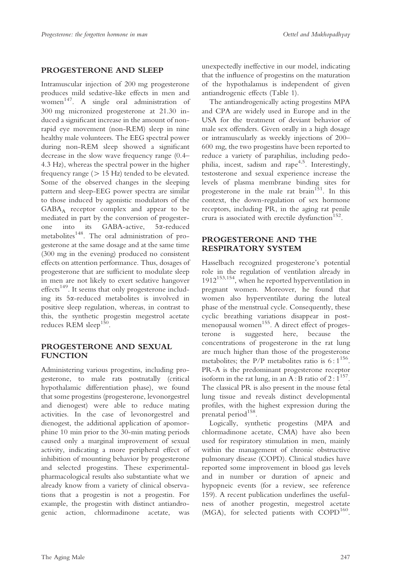# PROGESTERONE AND SLEEP

Intramuscular injection of 200 mg progesterone produces mild sedative-like effects in men and women 147. A single oral administration of 300 mg micronized progesterone at 21.30 induced a significant increase in the amount of nonrapid eye movement (non-REM) sleep in nine healthy male volunteers. The EEG spectral power during non-REM sleep showed a significant decrease in the slow wave frequency range (0.4– 4.3 Hz), whereas the spectral power in the higher frequency range ( $> 15$  Hz) tended to be elevated. Some of the observed changes in the sleeping pattern and sleep-EEG power spectra are similar to those induced by agonistic modulators of the GABAA receptor complex and appear to be mediated in part by the conversion of progesterone into its GABA-active, 5a-reduced metabolites<sup>148</sup>. The oral administration of progesterone at the same dosage and at the same time (300 mg in the evening) produced no consistent effects on attention performance. Thus, dosages of progesterone that are sufficient to modulate sleep in men are not likely to exert sedative hangover  $effects<sup>149</sup>$ . It seems that only progesterone including its 5a-reduced metabolites is involved in positive sleep regulation, whereas, in contrast to this, the synthetic progestin megestrol acetate reduces REM sleep<sup>15</sup>

# PROGESTERONE AND SEXUAL FUNCTION

Administering various progestins, including progesterone, to male rats postnatally (critical hypothalamic differentiation phase), we found that some progestins (progesterone, levonorgestrel and dienogest) were able to reduce mating activities. In the case of levonorgestrel and dienogest, the additional application of apomorphine 10 min prior to the 30-min mating periods caused only a marginal improvement of sexual activity, indicating a more peripheral effect of inhibition of mounting behavior by progesterone and selected progestins. These experimentalpharmacological results also substantiate what we already know from a variety of clinical observations that a progestin is not a progestin. For example, the progestin with distinct antiandrogenic action, chlormadinone acetate, was

unexpectedly ineffective in our model, indicating that the influence of progestins on the maturation of the hypothalamus is independent of given antiandrogenic effects (Table 1).

The antiandrogenically acting progestins MPA and CPA are widely used in Europe and in the USA for the treatment of deviant behavior of male sex offenders. Given orally in a high dosage or intramuscularly as weekly injections of 200– 600 mg, the two progestins have been reported to reduce a variety of paraphilias, including pedophilia, incest, sadism and rape<sup> $4,5$ </sup>. Interestingly, testosterone and sexual experience increase the levels of plasma membrane binding sites for progesterone in the male rat brain<sup>151</sup>. In this context, the down-regulation of sex hormone receptors, including PR, in the aging rat penile crura is associated with erectile dysfunction<sup>152</sup>.

# PROGESTERONE AND THE RESPIRATORY SYSTEM

Hasselbach recognized progesterone's potential role in the regulation of ventilation already in 1912153,154, when he reported hyperventilation in pregnant women. Moreover, he found that women also hyperventilate during the luteal phase of the menstrual cycle. Consequently, these cyclic breathing variations disappear in postmenopausal women<sup>155</sup>. A direct effect of progesterone is suggested here, because the concentrations of progesterone in the rat lung are much higher than those of the progesterone metabolites; the P/P metabolites ratio is  $6:1^{156}$ . PR-A is the predominant progesterone receptor isoform in the rat lung, in an A : B ratio of  $2:\overline{1}^{157}$ . The classical PR is also present in the mouse fetal lung tissue and reveals distinct developmental profiles, with the highest expression during the prenatal period<sup>158</sup>.

Logically, synthetic progestins (MPA and chlormadinone acetate, CMA) have also been used for respiratory stimulation in men, mainly within the management of chronic obstructive pulmonary disease (COPD). Clinical studies have reported some improvement in blood gas levels and in number or duration of apneic and hypopneic events (for a review, see reference 159). A recent publication underlines the usefulness of another progestin, megestrol acetate (MGA), for selected patients with COPD<sup>160</sup>.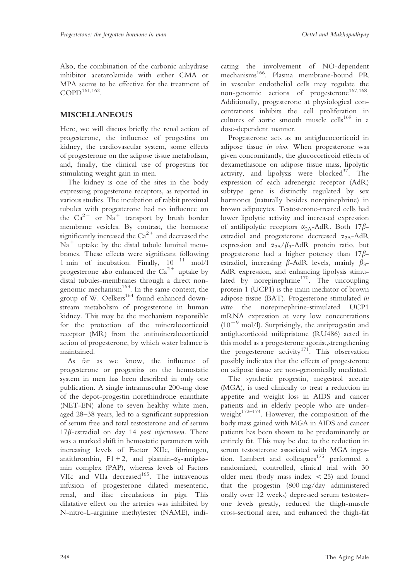Also, the combination of the carbonic anhydrase inhibitor acetazolamide with either CMA or MPA seems to be effective for the treatment of  $COPD<sup>161,162</sup>$ 

# MISCELLANEOUS

Here, we will discuss briefly the renal action of progesterone, the influence of progestins on kidney, the cardiovascular system, some effects of progesterone on the adipose tissue metabolism, and, finally, the clinical use of progestins for stimulating weight gain in men.

The kidney is one of the sites in the body expressing progesterone receptors, as reported in various studies. The incubation of rabbit proximal tubules with progesterone had no influence on the  $Ca^{2+}$  or  $Na^{+}$  transport by brush border membrane vesicles. By contrast, the hormone significantly increased the  $Ca^{2+}$  and decreased the  $Na<sup>+</sup>$  uptake by the distal tubule luminal membranes. These effects were significant following 1 min of incubation. Finally,  $10^{-11}$  mol/l progesterone also enhanced the  $Ca^{2+}$  uptake by distal tubules-membranes through a direct nongenomic mechanism $^{163}$ . In the same context, the group of W. Oelkers<sup>164</sup> found enhanced downstream metabolism of progesterone in human kidney. This may be the mechanism responsible for the protection of the mineralocorticoid receptor (MR) from the antimineralocorticoid action of progesterone, by which water balance is maintained.

As far as we know, the influence of progesterone or progestins on the hemostatic system in men has been described in only one publication. A single intramuscular 200-mg dose of the depot-progestin norethindrone enanthate (NET-EN) alone to seven healthy white men, aged 28–38 years, led to a significant suppression of serum free and total testosterone and of serum  $17\beta$ -estradiol on day 14 post injectionem. There was a marked shift in hemostatic parameters with increasing levels of Factor XIIc, fibrinogen, antithrombin,  $F1 + 2$ , and plasmin- $\alpha_2$ -antiplasmin complex (PAP), whereas levels of Factors VIIc and VIIa decreased<sup>165</sup>. The intravenous infusion of progesterone dilated mesenteric, renal, and iliac circulations in pigs. This dilatative effect on the arteries was inhibited by N-nitro-L-arginine methylester (NAME), indicating the involvement of NO-dependent mechanisms<sup>166</sup>. Plasma membrane-bound PR in vascular endothelial cells may regulate the non-genomic actions of progesterone<sup>167,168</sup>. Additionally, progesterone at physiological concentrations inhibits the cell proliferation in cultures of aortic smooth muscle cells<sup>169</sup> in a dose-dependent manner.

Progesterone acts as an antiglucocorticoid in adipose tissue in vivo. When progesterone was given concomitantly, the glucocorticoid effects of dexamethasone on adipose tissue mass, lipolytic activity, and lipolysis were blocked $37$ . The expression of each adrenergic receptor (AdR) subtype gene is distinctly regulated by sex hormones (naturally besides norepinephrine) in brown adipocytes. Testosterone-treated cells had lower lipolytic activity and increased expression of antilipolytic receptors  $\alpha_{2A}$ -AdR. Both 17 $\beta$ estradiol and progesterone decreased  $\alpha_{2A}$ -AdR expression and  $\alpha_{2A}/\beta_3$ -AdR protein ratio, but progesterone had a higher potency than  $17\beta$ estradiol, increasing  $\beta$ -AdR levels, mainly  $\beta_3$ -AdR expression, and enhancing lipolysis stimulated by norepinephrine<sup>170</sup>. The uncoupling protein 1 (UCP1) is the main mediator of brown adipose tissue (BAT). Progesterone stimulated in vitro the norepinephrine-stimulated UCP1 mRNA expression at very low concentrations  $(10^{-9}$  mol/l). Surprisingly, the antiprogestin and antiglucorticoid mifepristone (RU486) acted in this model as a progesterone agonist,strengthening the progesterone activity<sup>171</sup>. This observation possibly indicates that the effects of progesterone on adipose tissue are non-genomically mediated.

The synthetic progestin, megestrol acetate (MGA), is used clinically to treat a reduction in appetite and weight loss in AIDS and cancer patients and in elderly people who are underweight $172-174$ . However, the composition of the body mass gained with MGA in AIDS and cancer patients has been shown to be predominantly or entirely fat. This may be due to the reduction in serum testosterone associated with MGA ingestion. Lambert and colleagues $175$  performed a randomized, controlled, clinical trial with 30 older men (body mass index  $<$  25) and found that the progestin (800 mg/day administered orally over 12 weeks) depressed serum testosterone levels greatly, reduced the thigh-muscle cross-sectional area, and enhanced the thigh-fat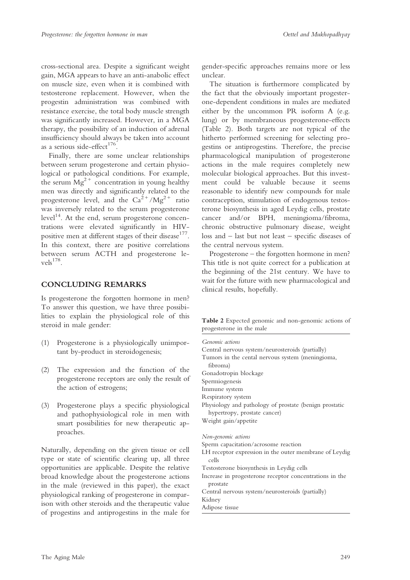cross-sectional area. Despite a significant weight gain, MGA appears to have an anti-anabolic effect on muscle size, even when it is combined with testosterone replacement. However, when the progestin administration was combined with resistance exercise, the total body muscle strength was significantly increased. However, in a MGA therapy, the possibility of an induction of adrenal insufficiency should always be taken into account as a serious side-effect $176$ .

Finally, there are some unclear relationships between serum progesterone and certain physiological or pathological conditions. For example, the serum  $Mg^{2+}$  concentration in young healthy men was directly and significantly related to the progesterone level, and the  $Ca^{2+}/Mg^{2+}$  ratio was inversely related to the serum progesterone  $level<sup>14</sup>$ . At the end, serum progesterone concentrations were elevated significantly in HIVpositive men at different stages of their disease<sup>177</sup>. In this context, there are positive correlations between serum ACTH and progesterone le $vels<sup>178</sup>$ .

# CONCLUDING REMARKS

Is progesterone the forgotten hormone in men? To answer this question, we have three possibilities to explain the physiological role of this steroid in male gender:

- (1) Progesterone is a physiologically unimportant by-product in steroidogenesis;
- (2) The expression and the function of the progesterone receptors are only the result of the action of estrogens;
- (3) Progesterone plays a specific physiological and pathophysiological role in men with smart possibilities for new therapeutic approaches.

Naturally, depending on the given tissue or cell type or state of scientific clearing up, all three opportunities are applicable. Despite the relative broad knowledge about the progesterone actions in the male (reviewed in this paper), the exact physiological ranking of progesterone in comparison with other steroids and the therapeutic value of progestins and antiprogestins in the male for

gender-specific approaches remains more or less unclear.

The situation is furthermore complicated by the fact that the obviously important progesterone-dependent conditions in males are mediated either by the uncommon PR isoform A (e.g. lung) or by membraneous progesterone-effects (Table 2). Both targets are not typical of the hitherto performed screening for selecting progestins or antiprogestins. Therefore, the precise pharmacological manipulation of progesterone actions in the male requires completely new molecular biological approaches. But this investment could be valuable because it seems reasonable to identify new compounds for male contraception, stimulation of endogenous testosterone biosynthesis in aged Leydig cells, prostate cancer and/or BPH, meningioma/fibroma, chronic obstructive pulmonary disease, weight loss and – last but not least – specific diseases of the central nervous system.

Progesterone – the forgotten hormone in men? This title is not quite correct for a publication at the beginning of the 21st century. We have to wait for the future with new pharmacological and clinical results, hopefully.

Table 2 Expected genomic and non-genomic actions of progesterone in the male

| Genomic actions                           |                                                         |
|-------------------------------------------|---------------------------------------------------------|
|                                           | Central nervous system/neurosteroids (partially)        |
| fibroma)                                  | Tumors in the cental nervous system (meningioma,        |
| Gonadotropin blockage                     |                                                         |
| Spermiogenesis                            |                                                         |
| Immune system                             |                                                         |
| Respiratory system                        |                                                         |
| hypertropy, prostate cancer)              | Physiology and pathology of prostate (benign prostatic  |
| Weight gain/appetite                      |                                                         |
| Non-genomic actions                       |                                                         |
| Sperm capacitation/acrosome reaction      |                                                         |
| cells                                     | LH receptor expression in the outer membrane of Leydig  |
| Testosterone biosynthesis in Leydig cells |                                                         |
| prostate                                  | Increase in progesterone receptor concentrations in the |
|                                           | Central nervous system/neurosteroids (partially)        |
| Kidney                                    |                                                         |
| Adipose tissue                            |                                                         |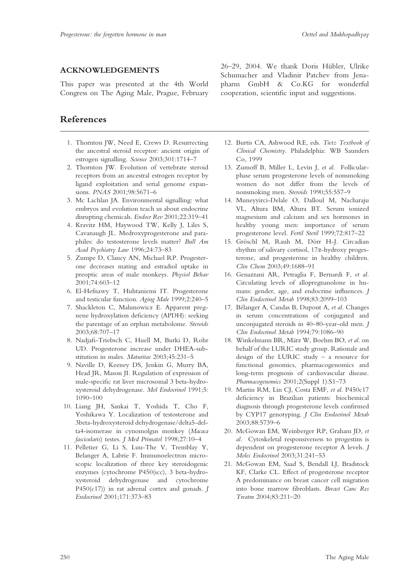#### ACKNOWLEDGEMENTS

This paper was presented at the 4th World Congress on The Aging Male, Prague, February

# References

- 1. Thornton JW, Need E, Crews D. Resurrecting the ancestral steroid receptor: ancient origin of estrogen signalling. Science 2003;301:1714–7
- 2. Thornton JW. Evolution of vertebrate steroid receptors from an ancestral estrogen receptor by ligand exploitation and serial genome expansions. PNAS 2001;98:5671–6
- 3. Mc Lachlan JA. Environmental signalling: what embryos and evolution teach us about endocrine disrupting chemicals. Endocr Rev 2001;22:319–41
- 4. Kravitz HM, Haywood TW, Kelly J, Liles S, Cavanaugh JL. Medroxyprogesterone and paraphiles: do testosterone levels matter? Bull Am Acad Psychiatry Law 1996;24:73–83
- 5. Zumpe D, Clancy AN, Michael RP. Progesterone decreases mating and estradiol uptake in preoptic areas of male monkeys. Physiol Behav 2001;74:603–12
- 6. El-Hefnawy T, Huhtaniemi IT. Progesterone and testicular function. Aging Male 1999;2:240–5
- 7. Shackleton C, Malunowicz E. Apparent pregnene hydroxylation deficiency (APDH): seeking the parentage of an orphan metabolome. Steroids 2003;68:707–17
- 8. Nadjafi-Triebsch C, Huell M, Burki D, Rohr UD. Progesterone increase under DHEA-substitution in males. Maturitas 2003;45:231–5
- 9. Naville D, Keeney DS, Jenkin G, Murry BA, Head JR, Mason JI. Regulation of expression of male-specific rat liver microsomal 3 beta-hydroxysteroid dehydrogenase. Mol Endocrinol 1991;5: 1090–100
- 10. Liang JH, Sankai T, Yoshida T, Cho F, Yoshikawa Y. Localization of testosterone and 3beta-hydroxysteroid dehydrogenase/delta5-delta4-isomerase in cynomolgus monkey (Macaca fascicularis) testes. J Med Primatol 1998;27:10–4
- 11. Pelletier G, Li S, Luu-The V, Tremblay Y, Belanger A, Labrie F. Immunoelectron microscopic localization of three key steroidogenic enzymes (cytochrome P450(scc), 3 beta-hydroxysteroid dehydrogenase and cytochrome  $P450(c17)$  in rat adrenal cortex and gonads. J Endocrinol 2001;171:373–83

26–29, 2004. We thank Doris Hübler, Ulrike Schumacher and Vladinir Patchev from Jenapharm GmbH & Co.KG for wonderful cooperation, scientific input and suggestions.

- 12. Burtis CA, Ashwood RE, eds. Tietz Textbook of Clinical Chemistry. Philadelphia: WB Saunders Co, 1999
- 13. Zumoff B, Miller L, Levin J, et al. Follicularphase serum progesterone levels of nonsmoking women do not differ from the levels of nonsmoking men. Steroids 1990;55:557–9
- 14. Muneyyirci-Delale O, Dalloul M, Nacharaju VL, Altura BM, Altura BT. Serum ionized magnesium and calcium and sex hormones in healthy young men: importance of serum progesterone level. Fertil Steril 1999;72:817–22
- 15. Gröschl M, Rauh M, Dörr H-J. Circadian rhythm of salivary cortisol, 17a-hydroxy progesterone, and progesterone in healthy children. Clin Chem 2003;49:1688–91
- 16. Genazzani AR, Petraglia F, Bernardi F, et al. Circulating levels of allopregnanolone in humans: gender, age, and endocrine influences. J Clin Endocrinol Metab 1998;83:2099–103
- 17. Bélanger A, Candas B, Dupont A, et al. Changes in serum concentrations of conjugated and unconjugated steroids in 40–80-year-old men. J Clin Endocrinol Metab 1994;79:1086–90
- 18. Winkelmann BR, März W, Boehm BO, et al. on behalf of the LURIC study group. Rationale and design of the LURIC study – a resource for functional genomics, pharmacogenomics and long-term prognosis of cardiovascular disease. Pharmacogenomics 2001;2(Suppl 1):S1–73
- 19. Martin RM, Lin CJ, Costa EMF, et al. P450c17 deficiency in Brazilian patients: biochemical diagnosis through progesterone levels confirmed by CYP17 genotyping. J Clin Endocrinol Metab 2003;88:5739–6
- 20. McGowan EM, Weinberger RP, Graham JD, et al. Cytoskeletal responsiveness to progestins is dependent on progesterone receptor A levels. J Molec Endocrinol 2003;31:241–53
- 21. McGowan EM, Saad S, Bendall LJ, Bradstock KF, Clarke CL. Effect of progesterone receptor A predominance on breast cancer cell migration into bone marrow fibroblasts. Breast Canc Res Treatm 2004;83:211–20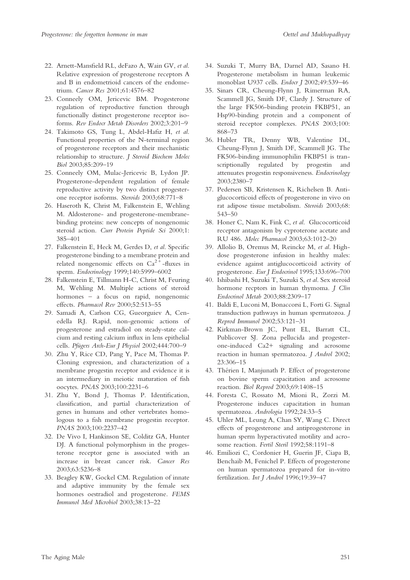- 22. Arnett-Mansfield RL, deFazo A, Wain GV, et al. Relative expression of progesterone receptors A and B in endometrioid cancers of the endometrium. Cancer Res 2001;61:4576–82
- 23. Conneely OM, Jericevic BM. Progesterone regulation of reproductive function through functionally distinct progesterone receptor isoforms. Rev Endocr Metab Disorders 2002;3:201–9
- 24. Takimoto GS, Tung L, Abdel-Hafiz H, et al. Functional properties of the N-terminal region of progesterone receptors and their mechanistic relationship to structure. J Steroid Biochem Molec Biol 2003;85:209–19
- 25. Conneely OM, Mulac-Jericevic B, Lydon JP. Progesterone-dependent regulation of female reproductive activity by two distinct progesterone receptor isoforms. Steroids 2003;68:771–8
- 26. Haseroth K, Christ M, Falkenstein E, Wehling M. Aldosterone- and progesterone-membranebinding proteins: new concepts of nongenomic steroid action. Curr Protein Peptide Sci 2000;1: 385–401
- 27. Falkenstein E, Heck M, Gerdes D, et al. Specific progesterone binding to a membrane protein and related nongenomic effects on  $Ca^{2+}$ -fluxes in sperm. Endocrinology 1999;140:5999–6002
- 28. Falkenstein E, Tillmann H-C, Christ M, Feuring M, Wehling M. Multiple actions of steroid hormones – a focus on rapid, nongenomic effects. Pharmacol Rev 2000;52:513–55
- 29. Samadi A, Carlson CG, Gueorguiev A, Cenedella RJ. Rapid, non-genomic actions of progesterone and estradiol on steady-state calcium and resting calcium influx in lens epithelial cells. Pfügers Arch-Eur J Physiol 2002;444:700-9
- 30. Zhu Y, Rice CD, Pang Y, Pace M, Thomas P. Cloning expression, and characterization of a membrane progestin receptor and evidence it is an intermediary in meiotic maturation of fish oocytes. PNAS 2003;100:2231–6
- 31. Zhu Y, Bond J, Thomas P. Identification, classification, and partial characterization of genes in humans and other vertebrates homologous to a fish membrane progestin receptor. PNAS 2003;100:2237–42
- 32. De Vivo I, Hankinson SE, Colditz GA, Hunter DJ. A functional polymorphism in the progesterone receptor gene is associated with an increase in breast cancer risk. Cancer Res 2003;63:5236–8
- 33. Beagley KW, Gockel CM. Regulation of innate and adaptive immunity by the female sex hormones oestradiol and progesterone. FEMS Immunol Med Microbiol 2003;38:13–22
- 34. Suzuki T, Murry BA, Darnel AD, Sasano H. Progesterone metabolism in human leukemic monoblast U937 cells. Endocr J 2002;49:539-46
- 35. Sinars CR, Cheung-Flynn J, Rimerman RA, Scammell JG, Smith DF, Clardy J. Structure of the large FK506-binding protein FKBP51, an Hsp90-binding protein and a component of steroid receptor complexes. PNAS 2003;100: 868–73
- 36. Hubler TR, Denny WB, Valentine DL, Cheung-Flynn J, Smith DF, Scammell JG. The FK506-binding immunophilin FKBP51 is transcriptionally regulated by progestin and attenuates progestin responsiveness. Endocrinology 2003;2380–7
- 37. Pedersen SB, Kristensen K, Richelsen B. Antiglucocorticoid effects of progesterone in vivo on rat adipose tissue metabolism. Steroids 2003;68: 543–50
- 38. Honer C, Nam K, Fink C, et al. Glucocorticoid receptor antagonism by cyproterone acetate and RU 486. Molec Pharmacol 2003;63:1012–20
- 39. Allolio B, Oremus M, Reincke M, et al. Highdose progesterone infusion in healthy males: evidence against antiglucocorticoid activity of progesterone. Eur J Endocrinol 1995;133:696–700
- 40. Ishibashi H, Suzuki T, Suzuki S, et al. Sex steroid hormone recptors in human thymoma. J Clin Endocrinol Metab 2003;88:2309–17
- 41. Baldi E, Luconi M, Bonaccorsi L, Forti G. Signal transduction pathways in human spermatozoa. J Reprod Immunol 2002;53:121–31
- 42. Kirkman-Brown JC, Punt EL, Barratt CL, Publicover SJ. Zona pellucida and progesterone-induced Ca2+ signaling and acrosome reaction in human spermatozoa. J Androl 2002; 23:306–15
- 43. Thérien I, Manjunath P. Effect of progesterone on bovine sperm capacitation and acrosome reaction. Biol Reprod 2003;69:1408–15
- 44. Foresta C, Rossato M, Mioni R, Zorzi M. Progesterone induces capacitation in human spermatozoa. Andrologia 1992:24:33-5
- 45. Uhler ML, Leung A, Chan SY, Wang C. Direct effects of progesterone and antiprogesterone in human sperm hyperactivated motility and acrosome reaction. Fertil Steril 1992;58:1191-8
- 46. Emiliozi C, Cordonier H, Guerin JF, Ciapa B, Benchaib M, Fenichel P. Effects of progesterone on human spermatozoa prepared for in-vitro fertilization. Int J Androl 1996;19:39-47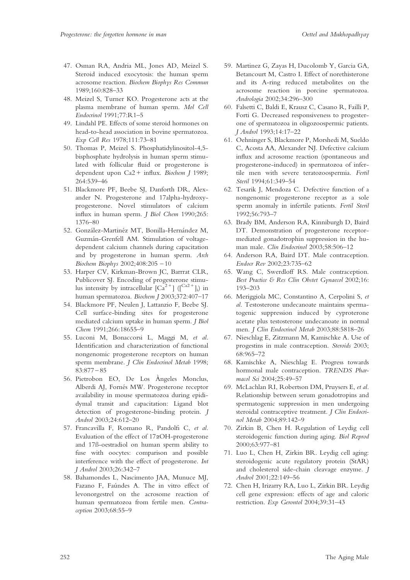- 47. Osman RA, Andria ML, Jones AD, Meizel S. Steroid induced exocytosis: the human sperm acrosome reaction. Biochem Biophys Res Commun 1989;160:828–33
- 48. Meizel S, Turner KO. Progesterone acts at the plasma membrane of human sperm. Mol Cell Endocrinol 1991;77:R1–5
- 49. Lindahl PE. Effects of some steroid hormones on head-to-head association in bovine spermatozoa. Exp Cell Res 1978;111:73–81
- 50. Thomas P, Meizel S. Phosphatidylinositol-4,5 bisphosphate hydrolysis in human sperm stimulated with follicular fluid or progesterone is dependent upon Ca2 + influx. Biochem J 1989; 264:539–46
- 51. Blackmore PF, Beebe SJ, Danforth DR, Alexander N. Progesterone and 17alpha-hydroxyprogesterone. Novel stimulators of calcium influx in human sperm. J Biol Chem 1990;265: 1376–80
- 52. González-Martinéz MT, Bonilla-Hernández M, Guzma´n-Grenfell AM. Stimulation of voltagedependent calcium channels during capacitation and by progesterone in human sperm. Arch Biochem Biophys 2002;408:205 – 10
- 53. Harper CV, Kirkman-Brown JC, Barrrat CLR, Publicover SJ. Encoding of progesterone stimulus intensity by intracellular  $\lceil Ca^{2+} \rceil \binom{Ca^{2+}}{i}$ in human spermatozoa. Biochem J 2003;372:407–17
- 54. Blackmore PF, Neulen J, Lattanzio F, Beebe SJ. Cell surface-binding sites for progesterone mediated calcium uptake in human sperm. J Biol Chem 1991;266:18655–9
- 55. Luconi M, Bonaccorsi L, Maggi M, et al. Identification and characterization of functional nongenomic progesterone receptors on human sperm membrane. J Clin Endocrinol Metab 1998; 83:877 – 85
- 56. Pietrobon EO, De Los Àngeles Monclus, Alberdi AJ, Fornés MW. Progesterone receptor availability in mouse spermatozoa during epididymal transit and capacitation: Ligand blot detection of progesterone-binding protein. J Androl 2003;24:612–20
- 57. Francavilla F, Romano R, Pandolfi C, et al. Evaluation of the effect of 17aOH-progesterone and 17ß-oestradiol on human sperm ability to fuse with oocytes: comparison and possible interference with the effect of progesterone. Int J Androl 2003;26:342–7
- 58. Bahamondes L, Nascimento JAA, Munuce MJ, Fazano F, Faúndes A. The in vitro effect of levonorgestrel on the acrosome reaction of human spermatozoa from fertile men. Contraception 2003;68:55–9
- 59. Martinez G, Zayas H, Ducolomb Y, Garcia GA, Betancourt M, Castro I. Effect of norethisterone and its A-ring reduced metabolites on the acrosome reaction in porcine spermatozoa. Andrologia 2002;34:296–300
- 60. Falsetti C, Baldi E, Krausz C, Casano R, Failli P, Forti G. Decreased responsiveness to progesterone of spermatozoa in oligozoospermic patients. J Androl 1993;14:17–22
- 61. Oehninger S, Blackmore P, Morshedi M, Sueldo C, Acosta AA, Alexander NJ. Defective calcium influx and acrosome reaction (spontaneous and progesterone-induced) in spermatozoa of infertile men with severe teratozoospermia. Fertil Steril 1994;61:349–54
- 62. Tesarik J, Mendoza C. Defective function of a nongenomic progesterone receptor as a sole sperm anomaly in infertile patients. Fertil Steril 1992;56:793–7
- 63. Brady BM, Anderson RA, Kinniburgh D, Baird DT. Demonstration of progesterone receptormediated gonadotrophin suppression in the human male. Clin Endocrinol 2003:58:506-12
- 64. Anderson RA, Baird DT. Male contraception. Endocr Rev 2002;23:735–62
- 65. Wang C, Swerdloff RS. Male contraception. Best Practice & Res Clin Obstet Gynaecol 2002;16: 193–203
- 66. Meriggiola MC, Constantino A, Cerpolini S, et al. Testosterone undecanoate maintains spermatogenic suppression induced by cyproterone acetate plus testosterone undecanoate in normal men. J Clin Endocrinol Metab 2003;88:5818–26
- 67. Nieschlag E, Zitzmann M, Kamischke A. Use of progestins in male contraception. Steroids 2003; 68:965–72
- 68. Kamischke A, Nieschlag E. Progress towards hormonal male contraception. TRENDS Pharmacol Sci 2004;25:49–57
- 69. McLachlan RI, Robertson DM, Pruysers E, et al. Relationship between serum gonadotropins and spermatogenic suppression in men undergoing steroidal contraceptive treatment. *I Clin Endocri*nol Metab 2004;89:142–9
- 70. Zirkin B, Chen H. Regulation of Leydig cell steroidogenic function during aging. Biol Reprod 2000;63:977–81
- 71. Luo L, Chen H, Zirkin BR. Leydig cell aging: steroidogenic acute regulatory protein (StAR) and cholesterol side-chain cleavage enzyme. J Androl 2001;22:149–56
- 72. Chen H, Irizarry RA, Luo L, Zirkin BR. Leydig cell gene expression: effects of age and caloric restriction. Exp Gerontol 2004;39:31–43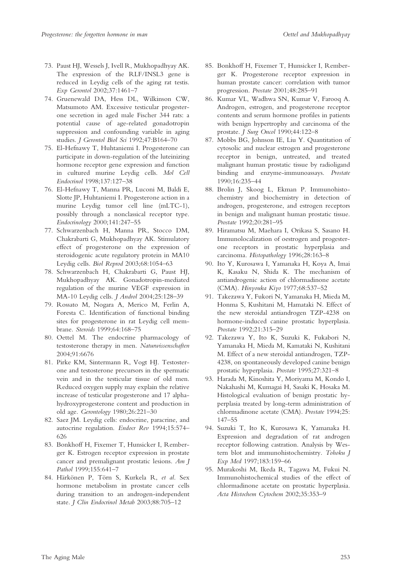- 73. Paust HJ, Wessels J, Ivell R, Mukhopadhyay AK. The expression of the RLF/INSL3 gene is reduced in Leydig cells of the aging rat testis. Exp Gerontol 2002;37:1461–7
- 74. Gruenewald DA, Hess DL, Wilkinson CW, Matsumoto AM. Excessive testicular progesterone secretion in aged male Fischer 344 rats: a potential cause of age-related gonadotropin suppression and confounding variable in aging studies. J Gerontol Biol Sci 1992;47:B164-70
- 75. El-Hefnawy T, Huhtaniemi I. Progesterone can participate in down-regulation of the luteinizing hormone receptor gene expression and function in cultured murine Leydig cells. Mol Cell Endocrinol 1998;137:127–38
- 76. El-Hefnawy T, Manna PR, Luconi M, Baldi E, Slotte JP, Huhtaniemi I. Progesterone action in a murine Leydig tumor cell line (mLTC-1), possibly through a nonclassical receptor type. Endocrinology 2000;141:247–55
- 77. Schwarzenbach H, Manna PR, Stocco DM, Chakrabarti G, Mukhopadhyay AK. Stimulatory effect of progesterone on the expression of steroidogenic acute regulatory protein in MA10 Leydig cells. Biol Reprod 2003;68:1054–63
- 78. Schwarzenbach H, Chakrabarti G, Paust HJ, Mukhopadhyay AK. Gonadotropin-mediated regulation of the murine VEGF expression in MA-10 Leydig cells. J Androl 2004;25:128–39
- 79. Rossato M, Nogara A, Merico M, Ferlin A, Foresta C. Identification of functional binding sites for progesterone in rat Leydig cell membrane. Steroids 1999;64:168–75
- 80. Oettel M. The endocrine pharmacology of testosterone therapy in men. Naturwissenschaften 2004;91:6676
- 81. Pirke KM, Sintermann R, Vogt HJ. Testosterone and testosterone precursors in the spermatic vein and in the testicular tissue of old men. Reduced oxygen supply may explain the relative increase of testicular progesterone and 17 alphahydroxyprogesterone content and production in old age. Gerontology 1980;26:221–30
- 82. Saez JM. Leydig cells: endocrine, paracrine, and autocrine regulation. Endocr Rev 1994;15:574– 626
- 83. Bonkhoff H, Fixemer T, Hunsicker I, Remberger K. Estrogen receptor expression in prostate cancer and premalignant prostatic lesions. Am J Pathol 1999;155:641–7
- 84. Härkönen P, Törn S, Kurkela R, et al. Sex hormone metabolism in prostate cancer cells during transition to an androgen-independent state. J Clin Endocrinol Metab 2003;88:705-12
- 85. Bonkhoff H, Fixemer T, Hunsicker I, Remberger K. Progesterone receptor expression in human prostate cancer: correlation with tumor progression. Prostate 2001;48:285–91
- 86. Kumar VL, Wadhwa SN, Kumar V, Farooq A. Androgen, estrogen, and progesterone receptor contents and serum hormone profiles in patients with benign hypertrophy and carcinoma of the prostate. J Surg Oncol 1990;44:122–8
- 87. Mobbs BG, Johnson IE, Liu Y. Quantitation of cytosolic and nuclear estrogen and progesterone receptor in benign, untreated, and treated malignant human prostatic tissue by radioligand binding and enzyme-immunoassays. Prostate 1990;16:235–44
- 88. Brolin J, Skoog L, Ekman P. Immunohistochemistry and biochemistry in detection of androgen, progesterone, and estrogen receptors in benign and malignant human prostatic tissue. Prostate 1992;20:281–95
- 89. Hiramatsu M, Maehara I, Orikasa S, Sasano H. Immunolocalization of oestrogen and progesterone receptors in prostatic hyperplasia and carcinoma. Histopathology 1996;28:163–8
- 90. Ito Y, Kurosawa I, Yamanaka H, Koya A, Imai K, Kasaku N, Shida K. The mechanism of antiandrogenic action of chlormadinone acetate (CMA). Hinyouka Kiyo 1977;68:537–52
- 91. Takezawa Y, Fukori N, Yamanaka H, Mieda M, Honma S, Kushitani M, Hamataki N. Effect of the new steroidal antiandrogen TZP-4238 on hormone-induced canine prostatic hyperplasia. Prostate 1992;21:315–29
- 92. Takezawa Y, Ito K, Suzuki K, Fukabori N, Yamanaka H, Mieda M, Kamataki N, Kushitani M. Effect of a new steroidal antiandrogen, TZP-4238, on spontaneously developed canine benign prostatic hyperplasia. Prostate 1995;27:321–8
- 93. Harada M, Kinoshita Y, Moriyama M, Kondo I, Nakahashi M, Kumagai H, Sasaki K, Hosaka M. Histological evaluation of benign prostatic hyperplasia treated by long-term administration of chlormadinone acetate (CMA). Prostate 1994;25: 147–55
- 94. Suzuki T, Ito K, Kurosawa K, Yamanaka H. Expression and degradation of rat androgen receptor following castration. Analysis by Western blot and immunohistochemistry. Tohoku J Exp Med 1997;183:159–66
- 95. Murakoshi M, Ikeda R, Tagawa M, Fukui N. Immunohistochemical studies of the effect of chlormadinone acetate on prostatic hyperplasia. Acta Histochem Cytochem 2002;35:353–9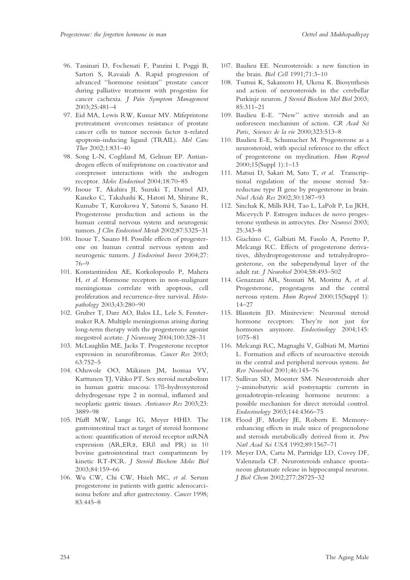- 96. Tassinari D, Fochessati F, Panzini I, Poggi B, Sartori S, Ravaiali A. Rapid progression of advanced ''hormone resistant'' prostate cancer during palliative treatment with progestins for cancer cachexia. J Pain Symptom Management 2003;25:481–4
- 97. Eid MA, Lewis RW, Kumar MV. Mifepristone pretreatment overcomes resistance of prostate cancer cells to tumor necrosis factor a-related apoptosis-inducing ligand (TRAIL). Mol Canc Ther 2002;1:831–40
- 98. Song L-N, Coghland M, Gelman EP. Antiandrogen effects of mifepristone on coactivator and corepressor interactions with the androgen receptor. Molec Endocrinol 2004;18:70–85
- 99. Inoue T, Akahira JI, Suzuki T, Darnel AD, Kaneko C, Takahashi K, Hatori M, Shirane R, Kumabe T, Kurokowa Y, Satomi S, Sasano H. Progesterone production and actions in the human central nervous system and neurogenic tumors. J Clin Endocrinol Metab 2002;87:5325–31
- 100. Inoue T, Sasano H. Possible effects of progesterone on human central nervous system and neurogenic tumors. J Endocrinol Invest 2004;27: 76–9
- 101. Konstantinidou AE, Korkolopoulo P, Mahera H, et al. Hormone receptors in non-malignant meningiomas correlate with apoptosis, cell proliferation and recurrence-free survival. Histopathology 2003;43:280–90
- 102. Gruber T, Dare AO, Balos LL, Lele S, Fenstermaker RA. Multiple meningiomas arising during long-term therapy with the progesterone agonist megestrol acetate. J Neurosurg 2004;100:328–31
- 103. McLaughlin ME, Jacks T. Progesterone receptor expression in neurofibromas. Cancer Res 2003; 63:752–5
- 104. Oduwole OO, Mäkinen JM, Isomaa VV, Karttunen TJ, Vihko PT. Sex steroid metabolism in human gastric mucosa: 17ß-hydroxysteroid dehydrogenase type 2 in normal, inflamed and neoplastic gastric tissues. Anticancer Res 2003;23: 3889–98
- 105. Pfaffl MW, Lange IG, Meyer HHD. The gastrointestinal tract as target of steroid hormone action: quantification of steroid receptor mRNA expression (AR,ERa, ERß and PR) in 10 bovine gastrointestinal tract compartments by kinetic RT-PCR. J Steroid Biochem Molec Biol 2003;84:159–66
- 106. Wu CW, Chi CW, Hsieh MC, et al. Serum progesterone in patients with gastric adenocarcinoma before and after gastrectomy. Cancer 1998; 83:445–8
- 107. Baulieu EE. Neurosteroids: a new function in the brain. Biol Cell 1991;71:3–10
- 108. Tsutsui K, Sakamoto H, Ukena K. Biosynthesis and action of neurosteroids in the cerebellar Purkinje neuron. J Steroid Biochem Mol Biol 2003; 85:311–21
- 109. Baulieu E-E. ''New'' active steroids and an unforeseen mechanism of action. CR Acad Sci Paris, Sciences de la vie 2000;323:513–8
- 110. Baulieu E-E, Schumacher M. Progesterone as a neurosteroid, with special reference to the effect of progesterone on myelination. Hum Reprod 2000;15(Suppl 1):1–13
- 111. Matsui D, Sakari M, Sato T, et al. Transcriptional regulation of the mouse steroid 5areductase type II gene by progesterone in brain. Nucl Acids Res 2002;30:1387–93
- 112. Sinchak K, Mills RH, Tao L, LaPolt P, Lu JKH, Micevych P. Estrogen induces de novo progesterone synthesis in astrocytes. Dev Neurosci 2003; 25:343–8
- 113. Giachino C, Galbiati M, Fasolo A, Peretto P, Melcangi RC. Effects of progesterone derivatives, dihydroprogesterone and tetrahydroprogesterone, on the subependymal layer of the adult rat. J Neurobiol 2004;58:493–502
- 114. Genazzani AR, Stomati M, Morittu A, et al. Progesterone, progestagens and the central nervous system. Hum Reprod 2000;15(Suppl 1): 14–27
- 115. Blaustein JD. Minireview: Neuronal steroid hormone receptors: They're not just for hormones anymore. Endocrinology 2004;145: 1075–81
- 116. Melcangi RC, Magnaghi V, Galbiati M, Martini L. Formation and effects of neuroactive steroids in the central and peripheral nervous system. Int Rev Neurobiol 2001;46:145–76
- 117. Sullivan SD, Moenter SM. Neurosteroids alter g-aminobutyric acid postsynaptic currents in gonadotropin-releasing hormone neurons: a possible mechanism for direct steroidal control. Endocrinology 2003;144:4366–75
- 118. Flood JF, Morley JE, Roberts E. Memoryenhancing effects in male mice of pregnenolone and steroids metabolically derived from it. Proc Natl Acad Sci USA 1992;89:1567–71
- 119. Meyer DA, Carta M, Partridge LD, Covey DF, Valenzuela CF. Neurosteroids enhance spontaneous glutamate release in hippocampal neurons. J Biol Chem 2002;277:28725–32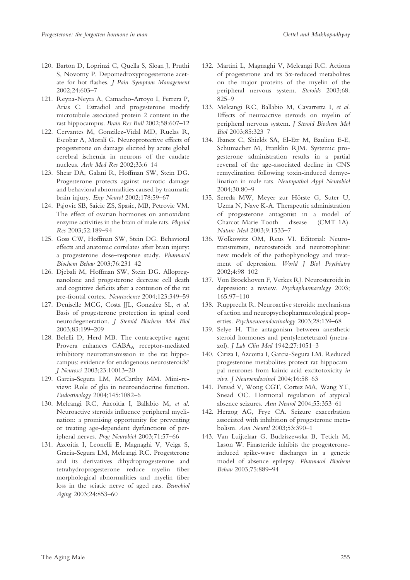- 120. Barton D, Loprinzi C, Quella S, Sloan J, Pruthi S, Novotny P. Depomedroxyprogesterone acetate for hot flashes. J Pain Symptom Management 2002;24:603–7
- 121. Reyna-Neyra A, Camacho-Arroyo I, Ferrera P, Arias C. Estradiol and progesterone modify microtubule associated protein 2 content in the rast hippocampus. Brain Res Bull 2002;58:607–12
- 122. Cervantes M, González-Vidal MD, Ruelas R, Escobar A, Moralí G. Neuroprotective effects of progesterone on damage elicited by acute global cerebral ischemia in neurons of the caudate nucleus. Arch Med Res 2002;33:6–14
- 123. Shear DA, Galani R, Hoffman SW, Stein DG. Progesterone protects against necrotic damage and behavioral abnormalities caused by traumatic brain injury. Exp Neurol 2002;178:59–67
- 124. Pajovic SB, Saicic ZS, Spasic, MB, Petrovic VM. The effect of ovarian hormones on antioxidant enzyme activities in the brain of male rats. Physiol Res 2003;52:189–94
- 125. Goss CW, Hoffman SW, Stein DG. Behavioral effects and anatomic correlates after brain injury: a progesterone dose–response study. Pharmacol Biochem Behav 2003;76:231–42
- 126. Djebali M, Hoffman SW, Stein DG. Allopregnanolone and progesterone decrease cell death and cognitive deficits after a contusion of the rat pre-frontal cortex. Neuroscience 2004;123:349–59
- 127. Deniselle MCG, Costa JJL, Gonzalez SL, et al. Basis of progesterone protection in spinal cord neurodegeneration. J Steroid Biochem Mol Biol 2003;83:199–209
- 128. Belelli D, Herd MB. The contraceptive agent Provera enhances GABA<sub>A</sub> receptor-mediated inhibitory neurotransmission in the rat hippocampus: evidence for endogenous neurosteroids? J Neurosci 2003;23:10013–20
- 129. Garcia-Segura LM, McCarthy MM. Mini-review: Role of glia in neuroendocrine function. Endocrinology 2004;145:1082–6
- 130. Melcangi RC, Azcoitia I, Ballabio M, et al. Neuroactive steroids influence peripheral myelination: a promising opportunity for preventing or treating age-dependent dysfunctions of peripheral nerves. Prog Neurobiol 2003;71:57–66
- 131. Azcoitia I, Leonelli E, Magnaghi V, Veiga S, Gracia-Segura LM, Melcangi RC. Progesterone and its derivatives dihydroprogesterone and tetrahydroprogesterone reduce myelin fiber morphological abnormalities and myelin fiber loss in the sciatic nerve of aged rats. Beurobiol Aging 2003;24:853–60
- 132. Martini L, Magnaghi V, Melcangi RC. Actions of progesterone and its 5a-reduced metabolites on the major proteins of the myelin of the peripheral nervous system. Steroids 2003;68: 825–9
- 133. Melcangi RC, Ballabio M, Cavarretta I, et al. Effects of neuroactive steroids on myelin of peripheral nervous system. J Steroid Biochem Mol Biol 2003;85:323–7
- 134. Ibanez C, Shields SA, El-Etr M, Baulieu E-E, Schumacher M, Franklin RJM. Systemic progesterone administration results in a partial reversal of the age-associated decline in CNS remyelination following toxin-induced demyelination in male rats. Neuropathol Appl Neurobiol 2004;30:80–9
- 135. Sereda MW, Meyer zur Hörste G, Suter U, Uzma N, Nave K-A. Therapeutic administration of progesterone antagonist in a model of Charcot-Marie-Tooth disease (CMT-1A). Nature Med 2003;9:1533–7
- 136. Wolkowitz OM, Reus VI. Editorial: Neurotransmitters, neurosteroids and neurotrophins: new models of the pathophysiology and treatment of depression. World J Biol Psychiatry 2002;4:98–102
- 137. Von Broekhoven F, Verkes RJ. Neurosteroids in depression: a review. Psychopharmacology 2003; 165:97–110
- 138. Rupprecht R. Neuroactive steroids: mechanisms of action and neuropsychopharmacological properties. Psychneuroendocrinology 2003;28:139–68
- 139. Selye H. The antagonism between anesthetic steroid hormones and pentylenetetrazol (metrazol). J Lab Clin Med 1942;27:1051–3
- 140. Ciriza I, Azcoitia I, Garcia-Segura LM. Reduced progesterone metabolites protect rat hippocampal neurones from kainic acid excitotoxicity in vivo. J Neuroendocrinol 2004;16:58–63
- 141. Persad V, Wong CGT, Cortez MA, Wang YT, Snead OC. Hormonal regulation of atypical absence seizures. Ann Neurol 2004;55:353–61
- 142. Herzog AG, Frye CA. Seizure exacerbation associated with inhibition of progesterone metabolism. Ann Neurol 2003;53:390–1
- 143. Van Luijtelaar G, Budziszewska B, Tetich M, Lason W. Finasteride inhibits the progesteroneinduced spike-wave discharges in a genetic model of absence epilepsy. Pharmacol Biochem Behav 2003;75:889–94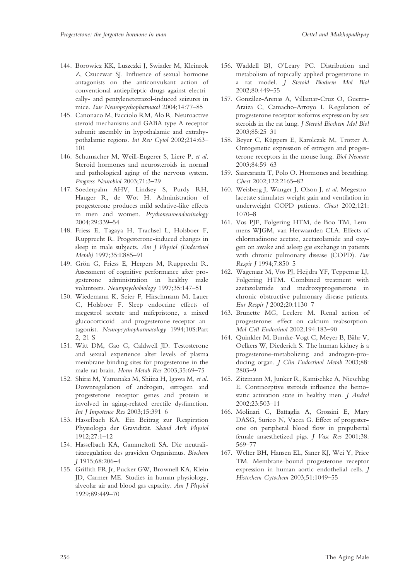- 144. Borowicz KK, Luszczki J, Swiader M, Kleinrok Z, Czuczwar SJ. Influence of sexual hormone antagonists on the anticonvulsant action of conventional antiepileptic drugs against electrically- and pentylenetetrazol-induced seizures in mice. Eur Neuropsychopharmacol 2004;14:77–85
- 145. Canonaco M, Facciolo RM, Alo R. Neuroactive steroid mechanisms and GABA type A receptor subunit assembly in hypothalamic and extrahypothalamic regions. Int Rev Cytol 2002;214:63– 101
- 146. Schumacher M, Weill-Engerer S, Liere P, et al. Steroid hormones and neurosteroids in normal and pathological aging of the nervous system. Progress Neurobiol 2003;71:3–29
- 147. Soederpalm AHV, Lindsey S, Purdy RH, Hauger R, de Wot H. Administration of progesterone produces mild sedative-like effects in men and women. Psychoneuroendocrinology 2004;29:339–54
- 148. Friess E, Tagaya H, Trachsel L, Holsboer F, Rupprecht R. Progesterone-induced changes in sleep in male subjects. Am J Physiol (Endocrinol Metab) 1997;35:E885–91
- 149. Grön G, Friess E, Herpers M, Rupprecht R. Assessment of cognitive performance after progesterone administration in healthy male volunteers. Neuropsychobiology 1997;35:147–51
- 150. Wiedemann K, Seier F, Hirschmann M, Lauer C, Holsboer F. Sleep endocrine effects of megestrol acetate and mifepristone, a mixed glucocorticoid- and progesterone-receptor antagonist. Neuropsychopharmacology 1994;10S:Part 2, 21 S
- 151. Witt DM, Gao G, Caldwell JD. Testosterone and sexual experience alter levels of plasma membrane binding sites for progesterone in the male rat brain. Horm Metab Res 2003;35:69–75
- 152. Shirai M, Yamanaka M, Shiina H, Igawa M, et al. Downregulation of androgen, estrogen and progesterone receptor genes and protein is involved in aging-related erectile dysfunction. Int J Impotence Res 2003;15:391–6
- 153. Hasselbach KA. Ein Beitrag zur Respiration Physiologia der Gravidität. Skand Arch Physiol 1912;27:1–12
- 154. Hasselbach KA, Gammeltoft SA. Die neutralitätsregulation des graviden Organismus. Biochem J 1915;68:206–4
- 155. Griffith FR Jr, Pucker GW, Brownell KA, Klein JD, Carmer ME. Studies in human physiology, alveolar air and blood gas capacity. Am J Physiol 1929;89:449–70
- 156. Waddell BJ, O'Leary PC. Distribution and metabolism of topically applied progesterone in a rat model. J Steroid Biochem Mol Biol 2002;80:449–55
- 157. González-Arenas A, Villamar-Cruz O, Guerra-Araiza C, Camacho-Arroyo I. Regulation of progesterone receptor isoforms expression by sex steroids in the rat lung. J Steroid Biochem Mol Biol 2003;85:25–31
- 158. Beyer C, Küppers E, Karolczak M, Trotter A. Ontogenetic expression of estrogen and progesterone receptors in the mouse lung. Biol Neonate 2003;84:59–63
- 159. Saaresranta T, Polo O. Hormones and breathing. Chest 2002;122:2165–82
- 160. Weisberg J, Wanger J, Olson J, et al. Megestrolacetate stimulates weight gain and ventilation in underweight COPD patients. Chest 2002;121: 1070–8
- 161. Vos PJE, Folgering HTM, de Boo TM, Lemmens WJGM, van Herwaarden CLA. Effects of chlormadinone acetate, acetazolamide and oxygen on awake and asleep gas exchange in patients with chronic pulmonary disease (COPD). Eur Respir J 1994;7:850–5
- 162. Wagenaar M, Vos PJ, Heijdra YF, Teppemar LJ, Folgering HTM. Combined treatment with azetazolamide and medroxyprogesterone in chronic obstructive pulmonary disease patients. Eur Respir J 2002;20:1130–7
- 163. Brunette MG, Leclerc M. Renal action of progesterone: effect on calcium reabsorption. Mol Cell Endocrinol 2002;194:183–90
- 164. Quinkler M, Bumke-Vogt C, Meyer B, Bähr V, Oelkers W, Diederich S. The human kidney is a progesterone-metabolizing and androgen-producing organ. J Clin Endocrinol Metab 2003;88: 2803–9
- 165. Zitzmann M, Junker R, Kamischke A, Nieschlag E. Contraceptive steroids influence the hemostatic activation state in healthy men. J Androl 2002;23:503–11
- 166. Molinari C, Battaglia A, Grossini E, Mary DASG, Surico N, Vacca G. Effect of progesterone on peripheral blood flow in prepubertal female anaesthetized pigs. J Vasc Res 2001;38: 569–77
- 167. Welter BH, Hansen EL, Saner KJ, Wei Y, Price TM. Membrane-bound progesterone receptor expression in human aortic endothelial cells. J Histochem Cytochem 2003;51:1049–55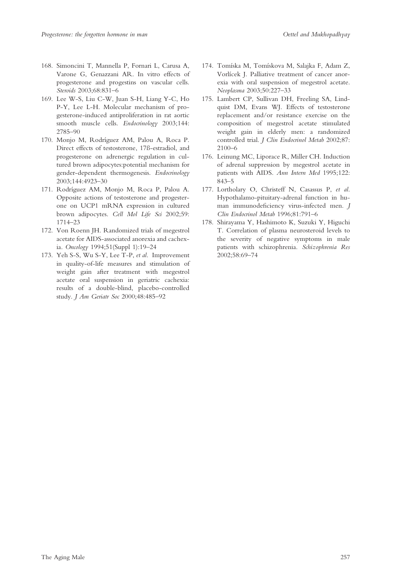- 168. Simoncini T, Mannella P, Fornari L, Carusa A, Varone G, Genazzani AR. In vitro effects of progesterone and progestins on vascular cells. Steroids 2003;68:831–6
- 169. Lee W-S, Liu C-W, Juan S-H, Liang Y-C, Ho P-Y, Lee L-H. Molecular mechanism of progesterone-induced antiproliferation in rat aortic smooth muscle cells. Endocrinology 2003;144: 2785–90
- 170. Monjo M, Rodríguez AM, Palou A, Roca P. Direct effects of testosterone, 17ß-estradiol, and progesterone on adrenergic regulation in cultured brown adipocytes:potential mechanism for gender-dependent thermogenesis. Endocrinology 2003;144:4923–30
- 171. Rodríguez AM, Monjo M, Roca P, Palou A. Opposite actions of testosterone and progesterone on UCP1 mRNA expression in cultured brown adipocytes. Cell Mol Life Sci 2002;59: 1714–23
- 172. Von Roenn JH. Randomized trials of megestrol acetate for AIDS-associated anorexia and cachexia. Oncology 1994;51(Suppl 1):19–24
- 173. Yeh S-S, Wu S-Y, Lee T-P, et al. Improvement in quality-of-life measures and stimulation of weight gain after treatment with megestrol acetate oral suspension in geriatric cachexia: results of a double-blind, placebo-controlled study. J Am Geriatr Soc 2000;48:485–92
- 174. Tomíska M, Tomískova M, Salajka F, Adam Z, Vorlícek J. Palliative treatment of cancer anorexia with oral suspension of megestrol acetate. Neoplasma 2003;50:227–33
- 175. Lambert CP, Sullivan DH, Freeling SA, Lindquist DM, Evans WJ. Effects of testosterone replacement and/or resistance exercise on the composition of megestrol acetate stimulated weight gain in elderly men: a randomized controlled trial. J Clin Endocrinol Metab 2002;87: 2100–6
- 176. Leinung MC, Liporace R, Miller CH. Induction of adrenal suppression by megestrol acetate in patients with AIDS. Ann Intern Med 1995;122: 843–5
- 177. Lortholary O, Christeff N, Casassus P, et al. Hypothalamo-pituitary-adrenal function in human immunodeficiency virus-infected men. J Clin Endocrinol Metab 1996;81:791–6
- 178. Shirayama Y, Hashimoto K, Suzuki Y, Higuchi T. Correlation of plasma neurosteroid levels to the severity of negative symptoms in male patients with schizophrenia. Schizophrenia Res 2002;58:69–74